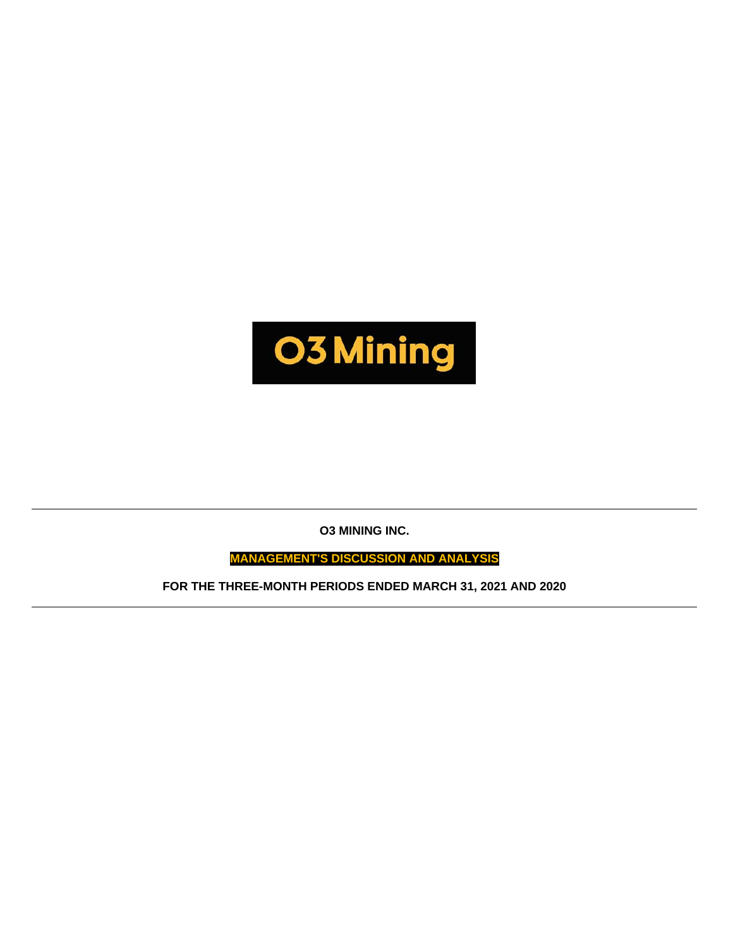

**O3 MINING INC.**

**MANAGEMENT'S DISCUSSION AND ANALYSIS**

**FOR THE THREE-MONTH PERIODS ENDED MARCH 31, 2021 AND 2020**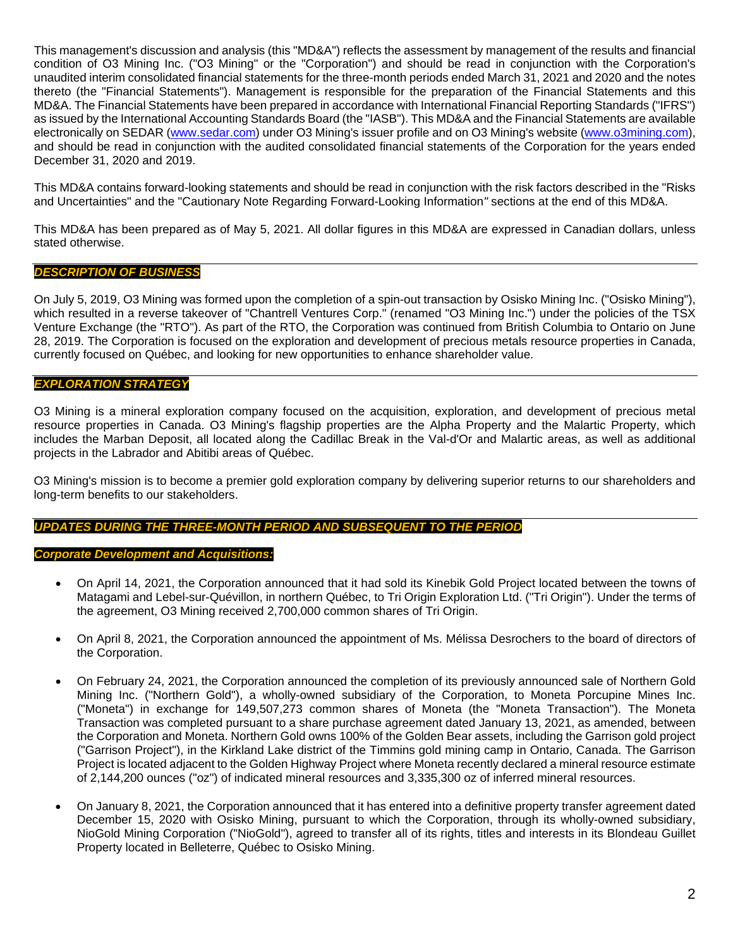This management's discussion and analysis (this "MD&A") reflects the assessment by management of the results and financial condition of O3 Mining Inc. ("O3 Mining" or the "Corporation") and should be read in conjunction with the Corporation's unaudited interim consolidated financial statements for the three-month periods ended March 31, 2021 and 2020 and the notes thereto (the "Financial Statements"). Management is responsible for the preparation of the Financial Statements and this MD&A. The Financial Statements have been prepared in accordance with International Financial Reporting Standards ("IFRS") as issued by the International Accounting Standards Board (the "IASB"). This MD&A and the Financial Statements are available electronically on SEDAR [\(www.sedar.com\)](http://www.sedar.com/) under O3 Mining's issuer profile and on O3 Mining's website [\(www.o3mining.com\)](http://www.o3mining.com/), and should be read in conjunction with the audited consolidated financial statements of the Corporation for the years ended December 31, 2020 and 2019.

This MD&A contains forward-looking statements and should be read in conjunction with the risk factors described in the "Risks and Uncertainties" and the "Cautionary Note Regarding Forward-Looking Information*"* sections at the end of this MD&A.

This MD&A has been prepared as of May 5, 2021. All dollar figures in this MD&A are expressed in Canadian dollars, unless stated otherwise.

## *DESCRIPTION OF BUSINESS*

On July 5, 2019, O3 Mining was formed upon the completion of a spin-out transaction by Osisko Mining Inc. ("Osisko Mining"), which resulted in a reverse takeover of "Chantrell Ventures Corp." (renamed "O3 Mining Inc.") under the policies of the TSX Venture Exchange (the "RTO"). As part of the RTO, the Corporation was continued from British Columbia to Ontario on June 28, 2019. The Corporation is focused on the exploration and development of precious metals resource properties in Canada, currently focused on Québec, and looking for new opportunities to enhance shareholder value.

### *EXPLORATION STRATEGY*

O3 Mining is a mineral exploration company focused on the acquisition, exploration, and development of precious metal resource properties in Canada. O3 Mining's flagship properties are the Alpha Property and the Malartic Property, which includes the Marban Deposit, all located along the Cadillac Break in the Val-d'Or and Malartic areas, as well as additional projects in the Labrador and Abitibi areas of Québec.

O3 Mining's mission is to become a premier gold exploration company by delivering superior returns to our shareholders and long-term benefits to our stakeholders.

# *UPDATES DURING THE THREE-MONTH PERIOD AND SUBSEQUENT TO THE PERIOD*

### *Corporate Development and Acquisitions:*

- On April 14, 2021, the Corporation announced that it had sold its Kinebik Gold Project located between the towns of Matagami and Lebel-sur-Quévillon, in northern Québec, to Tri Origin Exploration Ltd. ("Tri Origin"). Under the terms of the agreement, O3 Mining received 2,700,000 common shares of Tri Origin.
- On April 8, 2021, the Corporation announced the appointment of Ms. Mélissa Desrochers to the board of directors of the Corporation.
- On February 24, 2021, the Corporation announced the completion of its previously announced sale of Northern Gold Mining Inc. ("Northern Gold"), a wholly-owned subsidiary of the Corporation, to Moneta Porcupine Mines Inc. ("Moneta") in exchange for 149,507,273 common shares of Moneta (the "Moneta Transaction"). The Moneta Transaction was completed pursuant to a share purchase agreement dated January 13, 2021, as amended, between the Corporation and Moneta. Northern Gold owns 100% of the Golden Bear assets, including the Garrison gold project ("Garrison Project"), in the Kirkland Lake district of the Timmins gold mining camp in Ontario, Canada. The Garrison Project is located adjacent to the Golden Highway Project where Moneta recently declared a mineral resource estimate of 2,144,200 ounces ("oz") of indicated mineral resources and 3,335,300 oz of inferred mineral resources.
- On January 8, 2021, the Corporation announced that it has entered into a definitive property transfer agreement dated December 15, 2020 with Osisko Mining, pursuant to which the Corporation, through its wholly-owned subsidiary, NioGold Mining Corporation ("NioGold"), agreed to transfer all of its rights, titles and interests in its Blondeau Guillet Property located in Belleterre, Québec to Osisko Mining.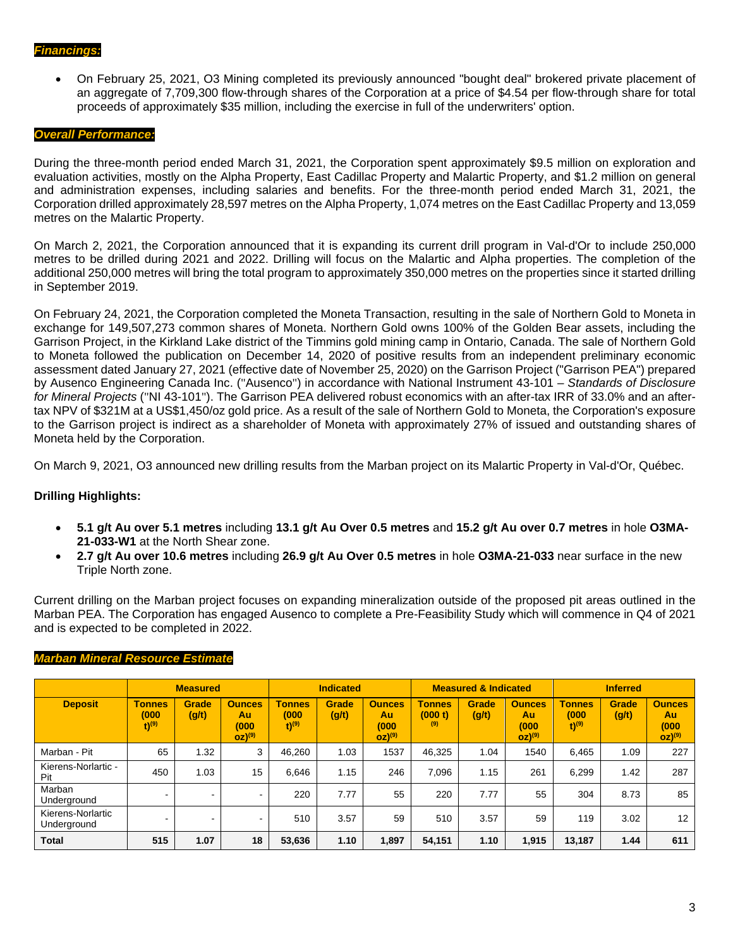• On February 25, 2021, O3 Mining completed its previously announced "bought deal" brokered private placement of an aggregate of 7,709,300 flow-through shares of the Corporation at a price of \$4.54 per flow-through share for total proceeds of approximately \$35 million, including the exercise in full of the underwriters' option.

#### *Overall Performance:*

During the three-month period ended March 31, 2021, the Corporation spent approximately \$9.5 million on exploration and evaluation activities, mostly on the Alpha Property, East Cadillac Property and Malartic Property, and \$1.2 million on general and administration expenses, including salaries and benefits. For the three-month period ended March 31, 2021, the Corporation drilled approximately 28,597 metres on the Alpha Property, 1,074 metres on the East Cadillac Property and 13,059 metres on the Malartic Property.

On March 2, 2021, the Corporation announced that it is expanding its current drill program in Val-d'Or to include 250,000 metres to be drilled during 2021 and 2022. Drilling will focus on the Malartic and Alpha properties. The completion of the additional 250,000 metres will bring the total program to approximately 350,000 metres on the properties since it started drilling in September 2019.

On February 24, 2021, the Corporation completed the Moneta Transaction, resulting in the sale of Northern Gold to Moneta in exchange for 149,507,273 common shares of Moneta. Northern Gold owns 100% of the Golden Bear assets, including the Garrison Project, in the Kirkland Lake district of the Timmins gold mining camp in Ontario, Canada. The sale of Northern Gold to Moneta followed the publication on December 14, 2020 of positive results from an independent preliminary economic assessment dated January 27, 2021 (effective date of November 25, 2020) on the Garrison Project ("Garrison PEA") prepared by Ausenco Engineering Canada Inc. ("Ausenco") in accordance with National Instrument 43-101 – *Standards of Disclosure for Mineral Projects* ("NI 43-101"). The Garrison PEA delivered robust economics with an after-tax IRR of 33.0% and an aftertax NPV of \$321M at a US\$1,450/oz gold price. As a result of the sale of Northern Gold to Moneta, the Corporation's exposure to the Garrison project is indirect as a shareholder of Moneta with approximately 27% of issued and outstanding shares of Moneta held by the Corporation.

On March 9, 2021, O3 announced new drilling results from the Marban project on its Malartic Property in Val-d'Or, Québec.

### **Drilling Highlights:**

- **5.1 g/t Au over 5.1 metres** including **13.1 g/t Au Over 0.5 metres** and **15.2 g/t Au over 0.7 metres** in hole **O3MA-21-033-W1** at the North Shear zone.
- **2.7 g/t Au over 10.6 metres** including **26.9 g/t Au Over 0.5 metres** in hole **O3MA-21-033** near surface in the new Triple North zone.

Current drilling on the Marban project focuses on expanding mineralization outside of the proposed pit areas outlined in the Marban PEA. The Corporation has engaged Ausenco to complete a Pre-Feasibility Study which will commence in Q4 of 2021 and is expected to be completed in 2022.

|                                  |                                               | <b>Measured</b>          |                                                     | <b>Indicated</b>                              |                |                                                      |                                 | <b>Measured &amp; Indicated</b> |                                                      | <b>Inferred</b>                               |                |                   |  |
|----------------------------------|-----------------------------------------------|--------------------------|-----------------------------------------------------|-----------------------------------------------|----------------|------------------------------------------------------|---------------------------------|---------------------------------|------------------------------------------------------|-----------------------------------------------|----------------|-------------------|--|
| <b>Deposit</b>                   | <b>Tonnes</b><br>(000)<br>$t)$ <sup>(9)</sup> | Grade<br>(g/t)           | <b>Ounces</b><br>Au<br>(000<br>$OZ)$ <sup>(9)</sup> | <b>Tonnes</b><br>(000)<br>$t)$ <sup>(9)</sup> | Grade<br>(g/t) | <b>Ounces</b><br>Au<br>(000)<br>$OZ)$ <sup>(9)</sup> | <b>Tonnes</b><br>(000 t)<br>(9) | Grade<br>(g/t)                  | <b>Ounces</b><br>Au<br>(000)<br>$OZ)$ <sup>(9)</sup> | <b>Tonnes</b><br>(000)<br>$t)$ <sup>(9)</sup> | Grade<br>(g/t) |                   |  |
| Marban - Pit                     | 65                                            | .32                      | 3                                                   | 46,260                                        | 1.03           | 1537                                                 | 46.325                          | 1.04                            | 1540                                                 | 6.465                                         | 1.09           | 227               |  |
| Kierens-Norlartic -<br>Pit       | 450                                           | 1.03                     | 15                                                  | 6.646                                         | 1.15           | 246                                                  | 7.096                           | 1.15                            | 261                                                  | 6.299                                         | 1.42           | 287               |  |
| Marban<br>Underground            | . .                                           | $\overline{\phantom{0}}$ | $\blacksquare$                                      | 220                                           | 7.77           | 55                                                   | 220                             | 7.77                            | 55                                                   | 304                                           | 8.73           | 85                |  |
| Kierens-Norlartic<br>Underground |                                               | $\overline{\phantom{0}}$ | $\blacksquare$                                      | 510                                           | 3.57           | 59                                                   | 510                             | 3.57                            | 59                                                   | 119                                           | 3.02           | $12 \overline{ }$ |  |
| <b>Total</b>                     | 515                                           | 1.07                     | 18                                                  | 53,636                                        | 1.10           | 1,897                                                | 54,151                          | 1.10                            | 1,915                                                | 13,187                                        | 1.44           | 611               |  |

### *Marban Mineral Resource Estimate*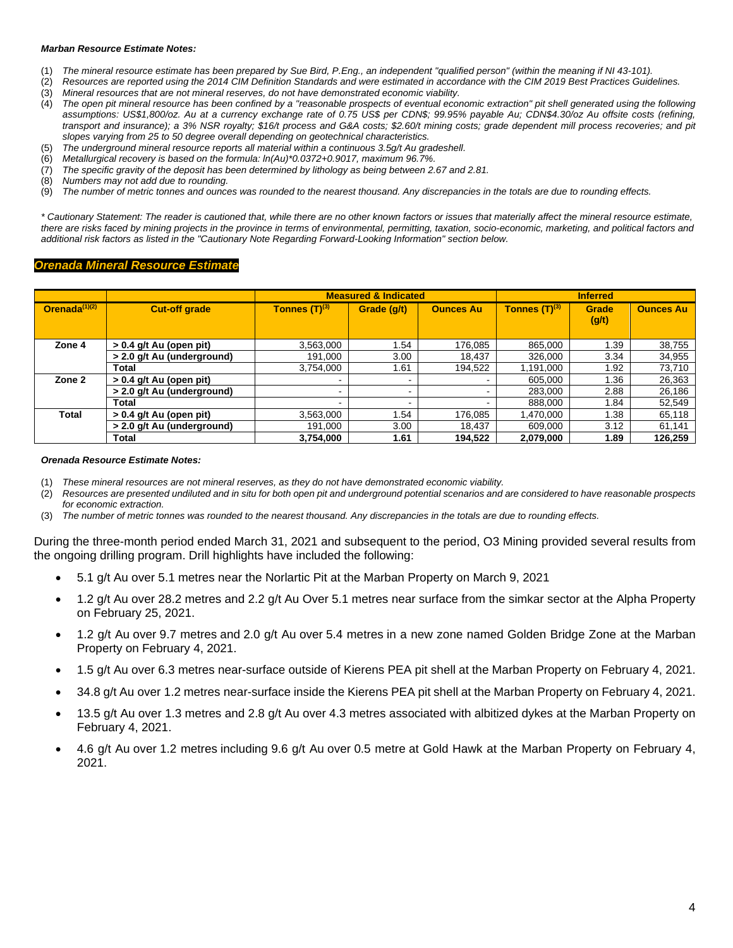#### *Marban Resource Estimate Notes:*

- (1) *The mineral resource estimate has been prepared by Sue Bird, P.Eng., an independent "qualified person" (within the meaning if NI 43-101).*
- (2) *Resources are reported using the 2014 CIM Definition Standards and were estimated in accordance with the CIM 2019 Best Practices Guidelines.*
- (3) *Mineral resources that are not mineral reserves, do not have demonstrated economic viability.*
- (4) *The open pit mineral resource has been confined by a "reasonable prospects of eventual economic extraction" pit shell generated using the following assumptions: US\$1,800/oz. Au at a currency exchange rate of 0.75 US\$ per CDN\$; 99.95% payable Au; CDN\$4.30/oz Au offsite costs (refining, transport and insurance); a 3% NSR royalty; \$16/t process and G&A costs; \$2.60/t mining costs; grade dependent mill process recoveries; and pit slopes varying from 25 to 50 degree overall depending on geotechnical characteristics.*
- (5) *The underground mineral resource reports all material within a continuous 3.5g/t Au gradeshell.*
- (6) *Metallurgical recovery is based on the formula: ln(Au)\*0.0372+0.9017, maximum 96.7%.*
- (7) *The specific gravity of the deposit has been determined by lithology as being between 2.67 and 2.81.*
- (8) *Numbers may not add due to rounding.*
- (9) *The number of metric tonnes and ounces was rounded to the nearest thousand. Any discrepancies in the totals are due to rounding effects.*

*\* Cautionary Statement: The reader is cautioned that, while there are no other known factors or issues that materially affect the mineral resource estimate, there are risks faced by mining projects in the province in terms of environmental, permitting, taxation, socio-economic, marketing, and political factors and additional risk factors as listed in the "Cautionary Note Regarding Forward-Looking Information" section below.*

#### *Orenada Mineral Resource Estimate*

|                  |                            |                    | <b>Measured &amp; Indicated</b> |                  |                    | <b>Inferred</b>       |                  |
|------------------|----------------------------|--------------------|---------------------------------|------------------|--------------------|-----------------------|------------------|
| Orenada $(1)(2)$ | <b>Cut-off grade</b>       | Tonnes $(T)^{(3)}$ | Grade (q/t)                     | <b>Ounces Au</b> | Tonnes $(T)^{(3)}$ | <b>Grade</b><br>(g/t) | <b>Ounces Au</b> |
| Zone 4           | $> 0.4$ g/t Au (open pit)  | 3,563,000          | 1.54                            | 176,085          | 865,000            | 1.39                  | 38,755           |
|                  | > 2.0 g/t Au (underground) | 191,000            | 3.00                            | 18,437           | 326,000            | 3.34                  | 34,955           |
|                  | <b>Total</b>               | 3,754,000          | 1.61                            | 194,522          | 1,191,000          | 1.92                  | 73,710           |
| Zone 2           | $> 0.4$ g/t Au (open pit)  |                    |                                 |                  | 605,000            | 1.36                  | 26,363           |
|                  | > 2.0 g/t Au (underground) | $\,$               | -                               |                  | 283,000            | 2.88                  | 26,186           |
|                  | Total                      | $\,$               | -                               |                  | 888,000            | 1.84                  | 52,549           |
| <b>Total</b>     | $> 0.4$ g/t Au (open pit)  | 3,563,000          | 1.54                            | 176,085          | 1,470,000          | 1.38                  | 65,118           |
|                  | > 2.0 g/t Au (underground) | 191,000            | 3.00                            | 18,437           | 609,000            | 3.12                  | 61,141           |
|                  | <b>Total</b>               | 3,754,000          | 1.61                            | 194,522          | 2,079,000          | 1.89                  | 126,259          |

#### *Orenada Resource Estimate Notes:*

- (1) *These mineral resources are not mineral reserves, as they do not have demonstrated economic viability.*
- Resources are presented undiluted and in situ for both open pit and underground potential scenarios and are considered to have reasonable prospects *for economic extraction.*
- (3) *The number of metric tonnes was rounded to the nearest thousand. Any discrepancies in the totals are due to rounding effects.*

During the three-month period ended March 31, 2021 and subsequent to the period, O3 Mining provided several results from the ongoing drilling program. Drill highlights have included the following:

- 5.1 g/t Au over 5.1 metres near the Norlartic Pit at the Marban Property on March 9, 2021
- 1.2 g/t Au over 28.2 metres and 2.2 g/t Au Over 5.1 metres near surface from the simkar sector at the Alpha Property on February 25, 2021.
- 1.2 g/t Au over 9.7 metres and 2.0 g/t Au over 5.4 metres in a new zone named Golden Bridge Zone at the Marban Property on February 4, 2021.
- 1.5 g/t Au over 6.3 metres near-surface outside of Kierens PEA pit shell at the Marban Property on February 4, 2021.
- 34.8 g/t Au over 1.2 metres near-surface inside the Kierens PEA pit shell at the Marban Property on February 4, 2021.
- 13.5 g/t Au over 1.3 metres and 2.8 g/t Au over 4.3 metres associated with albitized dykes at the Marban Property on February 4, 2021.
- 4.6 g/t Au over 1.2 metres including 9.6 g/t Au over 0.5 metre at Gold Hawk at the Marban Property on February 4, 2021.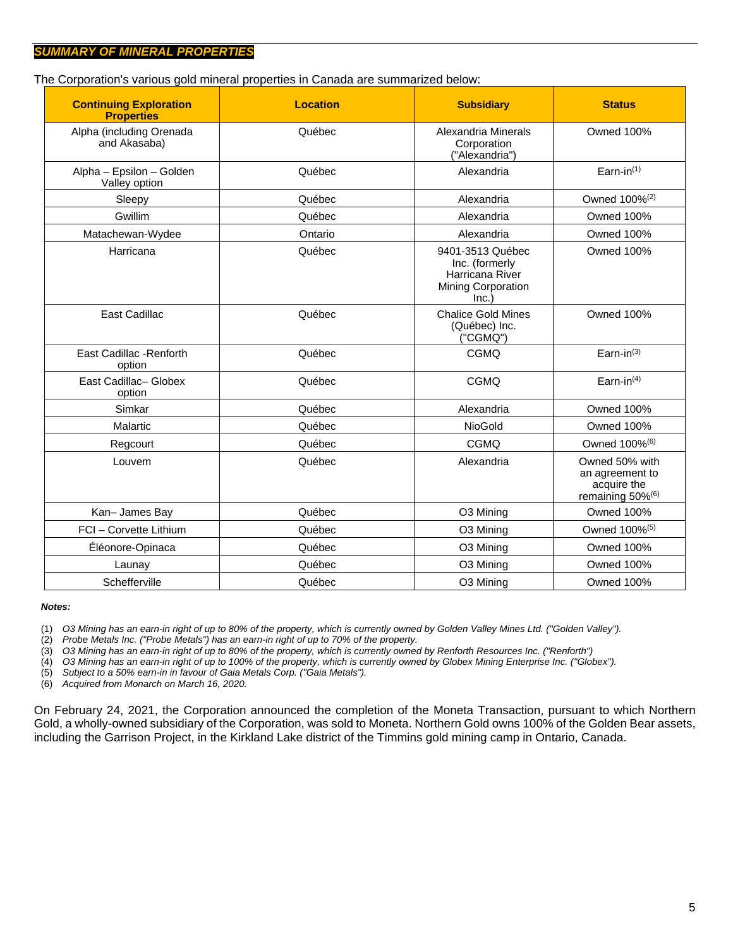The Corporation's various gold mineral properties in Canada are summarized below:

| <b>Continuing Exploration</b><br><b>Properties</b> | <b>Location</b> | <b>Subsidiary</b>                                      | <b>Status</b>                                                                    |  |  |  |
|----------------------------------------------------|-----------------|--------------------------------------------------------|----------------------------------------------------------------------------------|--|--|--|
| Alpha (including Orenada<br>and Akasaba)           | Québec          | Alexandria Minerals<br>Corporation<br>("Alexandria")   | <b>Owned 100%</b>                                                                |  |  |  |
| Alpha - Epsilon - Golden<br>Valley option          | Québec          | Alexandria                                             | Earn-in $(1)$                                                                    |  |  |  |
| Sleepy                                             | Québec          | Alexandria                                             | Owned 100% <sup>(2)</sup>                                                        |  |  |  |
| Gwillim                                            | Québec          | Alexandria                                             | <b>Owned 100%</b>                                                                |  |  |  |
| Matachewan-Wydee                                   | Ontario         | Alexandria                                             |                                                                                  |  |  |  |
| Harricana                                          | Québec          | <b>Owned 100%</b>                                      |                                                                                  |  |  |  |
| <b>East Cadillac</b>                               | Québec          | <b>Chalice Gold Mines</b><br>(Québec) Inc.<br>("CGMQ") | <b>Owned 100%</b>                                                                |  |  |  |
| East Cadillac - Renforth<br>option                 | Québec          | <b>CGMQ</b>                                            | Earn-in $^{(3)}$                                                                 |  |  |  |
| East Cadillac- Globex<br>option                    | Québec          | <b>CGMQ</b>                                            | Earn-in $(4)$                                                                    |  |  |  |
| Simkar                                             | Québec          | Alexandria                                             | <b>Owned 100%</b>                                                                |  |  |  |
| Malartic                                           | Québec          | NioGold                                                | <b>Owned 100%</b>                                                                |  |  |  |
| Regcourt                                           | Québec          | CGMQ                                                   | Owned 100% <sup>(6)</sup>                                                        |  |  |  |
| Québec<br>Louvem                                   |                 | Alexandria                                             | Owned 50% with<br>an agreement to<br>acquire the<br>remaining 50% <sup>(6)</sup> |  |  |  |
| Kan-James Bay                                      | Québec          | O3 Mining                                              | <b>Owned 100%</b>                                                                |  |  |  |
| FCI - Corvette Lithium                             | Québec          | O3 Mining                                              | Owned 100% <sup>(5)</sup>                                                        |  |  |  |
| Éléonore-Opinaca                                   | Québec          | O3 Mining                                              | <b>Owned 100%</b>                                                                |  |  |  |
| Launay                                             | Québec          | O3 Mining                                              | <b>Owned 100%</b>                                                                |  |  |  |
| Schefferville                                      | Québec          | O3 Mining                                              | <b>Owned 100%</b>                                                                |  |  |  |

*Notes:*

(1) *O3 Mining has an earn-in right of up to 80% of the property, which is currently owned by Golden Valley Mines Ltd. ("Golden Valley").*

(2) *Probe Metals Inc. ("Probe Metals") has an earn-in right of up to 70% of the property.*

(3) *O3 Mining has an earn-in right of up to 80% of the property, which is currently owned by Renforth Resources Inc. ("Renforth")*

(4) *O3 Mining has an earn-in right of up to 100% of the property, which is currently owned by Globex Mining Enterprise Inc. ("Globex").*

(5) *Subject to a 50% earn-in in favour of Gaia Metals Corp. ("Gaia Metals").*

(6) *Acquired from Monarch on March 16, 2020.* 

On February 24, 2021, the Corporation announced the completion of the Moneta Transaction, pursuant to which Northern Gold, a wholly-owned subsidiary of the Corporation, was sold to Moneta. Northern Gold owns 100% of the Golden Bear assets, including the Garrison Project, in the Kirkland Lake district of the Timmins gold mining camp in Ontario, Canada.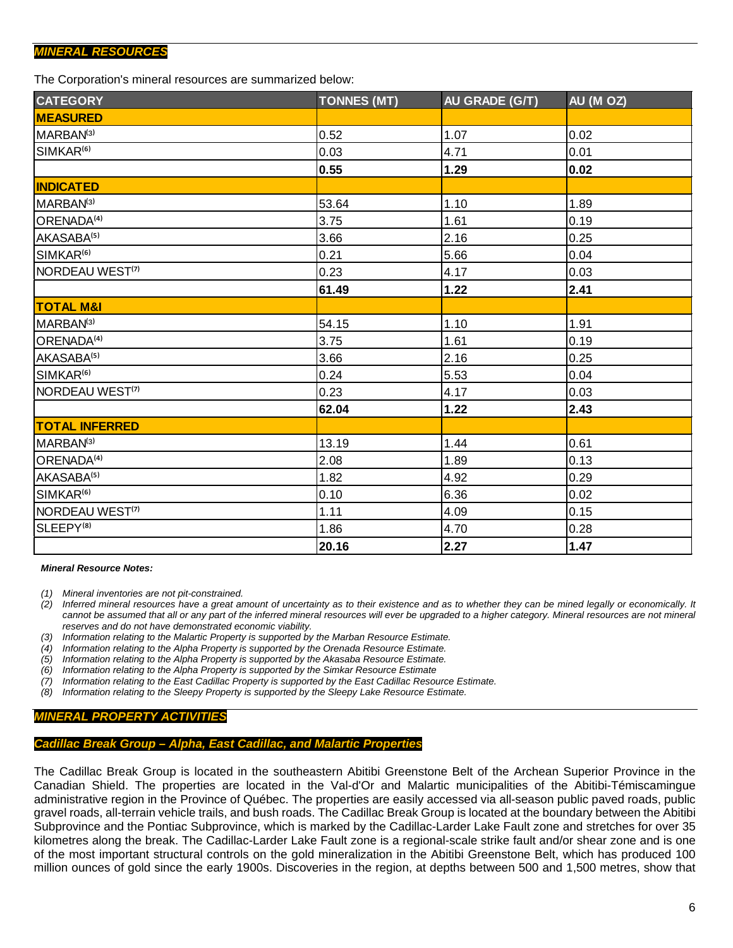## *MINERAL RESOURCES*

The Corporation's mineral resources are summarized below:

| <b>CATEGORY</b>              | <b>TONNES (MT)</b> | AU GRADE (G/T) | AU (M OZ) |
|------------------------------|--------------------|----------------|-----------|
| <b>MEASURED</b>              |                    |                |           |
| MARBAN <sup>(3)</sup>        | 0.52               | 1.07           | 0.02      |
| SIMKAR <sup>(6)</sup>        | 0.03               | 4.71           | 0.01      |
|                              | 0.55               | 1.29           | 0.02      |
| <b>INDICATED</b>             |                    |                |           |
| MARBAN <sup>(3)</sup>        | 53.64              | 1.10           | 1.89      |
| ORENADA <sup>(4)</sup>       | 3.75               | 1.61           | 0.19      |
| AKASABA <sup>(5)</sup>       | 3.66               | 2.16           | 0.25      |
| SIMKAR <sup>(6)</sup>        | 0.21               | 5.66           | 0.04      |
| NORDEAU WEST <sup>(7)</sup>  | 0.23               | 4.17           | 0.03      |
|                              | 61.49              | 1.22           | 2.41      |
| <b>TOTAL M&amp;I</b>         |                    |                |           |
| MARBAN <sup>(3)</sup>        | 54.15              | 1.10           | 1.91      |
| <b>ORENADA<sup>(4)</sup></b> | 3.75               | 1.61           | 0.19      |
| AKASABA <sup>(5)</sup>       | 3.66               | 2.16           | 0.25      |
| SIMKAR <sup>(6)</sup>        | 0.24               | 5.53           | 0.04      |
| NORDEAU WEST <sup>(7)</sup>  | 0.23               | 4.17           | 0.03      |
|                              | 62.04              | 1.22           | 2.43      |
| <b>TOTAL INFERRED</b>        |                    |                |           |
| MARBAN <sup>(3)</sup>        | 13.19              | 1.44           | 0.61      |
| ORENADA <sup>(4)</sup>       | 2.08               | 1.89           | 0.13      |
| AKASABA <sup>(5)</sup>       | 1.82               | 4.92           | 0.29      |
| SIMKAR <sup>(6)</sup>        | 0.10               | 6.36           | 0.02      |
| NORDEAU WEST <sup>(7)</sup>  | 1.11               | 4.09           | 0.15      |
| SLEEPY <sup>(8)</sup>        | 1.86               | 4.70           | 0.28      |
|                              | 20.16              | 2.27           | 1.47      |

#### *Mineral Resource Notes:*

*(1) Mineral inventories are not pit-constrained.*

*(2) Inferred mineral resources have a great amount of uncertainty as to their existence and as to whether they can be mined legally or economically. It cannot be assumed that all or any part of the inferred mineral resources will ever be upgraded to a higher category. Mineral resources are not mineral reserves and do not have demonstrated economic viability.*

- *(3) Information relating to the Malartic Property is supported by the Marban Resource Estimate.*
- *(4) Information relating to the Alpha Property is supported by the Orenada Resource Estimate.*
- *(5) Information relating to the Alpha Property is supported by the Akasaba Resource Estimate.*
- *(6) Information relating to the Alpha Property is supported by the Simkar Resource Estimate*
- *(7) Information relating to the East Cadillac Property is supported by the East Cadillac Resource Estimate.*
- *(8) Information relating to the Sleepy Property is supported by the Sleepy Lake Resource Estimate.*

### *MINERAL PROPERTY ACTIVITIES*

### *Cadillac Break Group – Alpha, East Cadillac, and Malartic Properties*

The Cadillac Break Group is located in the southeastern Abitibi Greenstone Belt of the Archean Superior Province in the Canadian Shield. The properties are located in the Val-d'Or and Malartic municipalities of the Abitibi-Témiscamingue administrative region in the Province of Québec. The properties are easily accessed via all-season public paved roads, public gravel roads, all-terrain vehicle trails, and bush roads. The Cadillac Break Group is located at the boundary between the Abitibi Subprovince and the Pontiac Subprovince, which is marked by the Cadillac-Larder Lake Fault zone and stretches for over 35 kilometres along the break. The Cadillac-Larder Lake Fault zone is a regional-scale strike fault and/or shear zone and is one of the most important structural controls on the gold mineralization in the Abitibi Greenstone Belt, which has produced 100 million ounces of gold since the early 1900s. Discoveries in the region, at depths between 500 and 1,500 metres, show that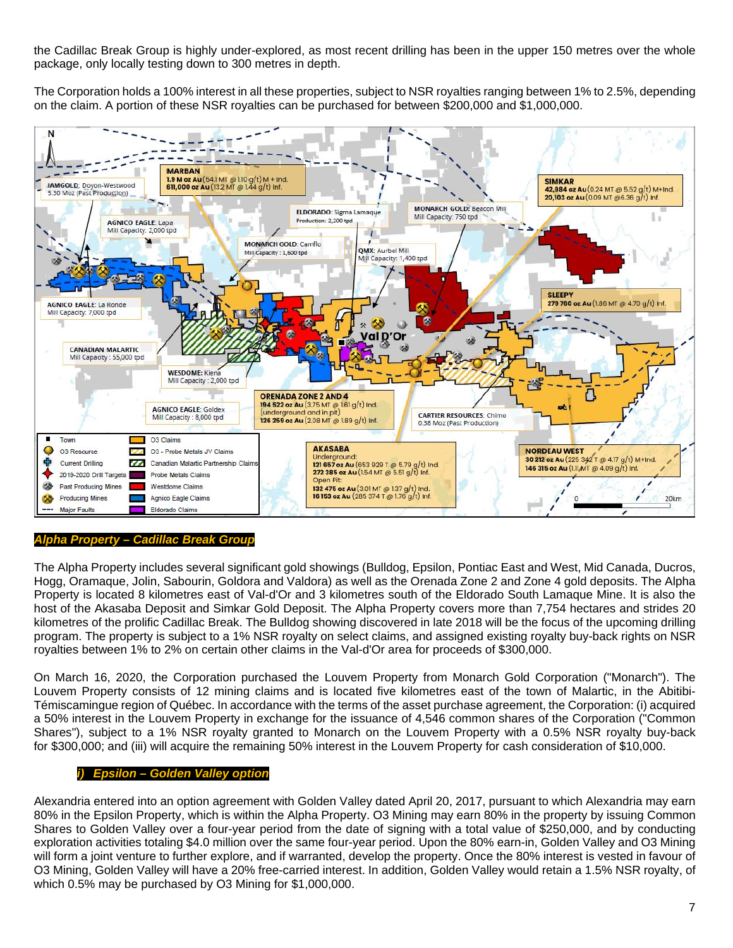the Cadillac Break Group is highly under-explored, as most recent drilling has been in the upper 150 metres over the whole package, only locally testing down to 300 metres in depth.

The Corporation holds a 100% interest in all these properties, subject to NSR royalties ranging between 1% to 2.5%, depending on the claim. A portion of these NSR royalties can be purchased for between \$200,000 and \$1,000,000.



## *Alpha Property – Cadillac Break Group*

The Alpha Property includes several significant gold showings (Bulldog, Epsilon, Pontiac East and West, Mid Canada, Ducros, Hogg, Oramaque, Jolin, Sabourin, Goldora and Valdora) as well as the Orenada Zone 2 and Zone 4 gold deposits. The Alpha Property is located 8 kilometres east of Val-d'Or and 3 kilometres south of the Eldorado South Lamaque Mine. It is also the host of the Akasaba Deposit and Simkar Gold Deposit. The Alpha Property covers more than 7,754 hectares and strides 20 kilometres of the prolific Cadillac Break. The Bulldog showing discovered in late 2018 will be the focus of the upcoming drilling program. The property is subject to a 1% NSR royalty on select claims, and assigned existing royalty buy-back rights on NSR royalties between 1% to 2% on certain other claims in the Val-d'Or area for proceeds of \$300,000.

On March 16, 2020, the Corporation purchased the Louvem Property from Monarch Gold Corporation ("Monarch"). The Louvem Property consists of 12 mining claims and is located five kilometres east of the town of Malartic, in the Abitibi-Témiscamingue region of Québec. In accordance with the terms of the asset purchase agreement, the Corporation: (i) acquired a 50% interest in the Louvem Property in exchange for the issuance of 4,546 common shares of the Corporation ("Common Shares"), subject to a 1% NSR royalty granted to Monarch on the Louvem Property with a 0.5% NSR royalty buy-back for \$300,000; and (iii) will acquire the remaining 50% interest in the Louvem Property for cash consideration of \$10,000.

## *i) Epsilon – Golden Valley option*

Alexandria entered into an option agreement with Golden Valley dated April 20, 2017, pursuant to which Alexandria may earn 80% in the Epsilon Property, which is within the Alpha Property. O3 Mining may earn 80% in the property by issuing Common Shares to Golden Valley over a four-year period from the date of signing with a total value of \$250,000, and by conducting exploration activities totaling \$4.0 million over the same four-year period. Upon the 80% earn-in, Golden Valley and O3 Mining will form a joint venture to further explore, and if warranted, develop the property. Once the 80% interest is vested in favour of O3 Mining, Golden Valley will have a 20% free-carried interest. In addition, Golden Valley would retain a 1.5% NSR royalty, of which 0.5% may be purchased by O3 Mining for \$1,000,000.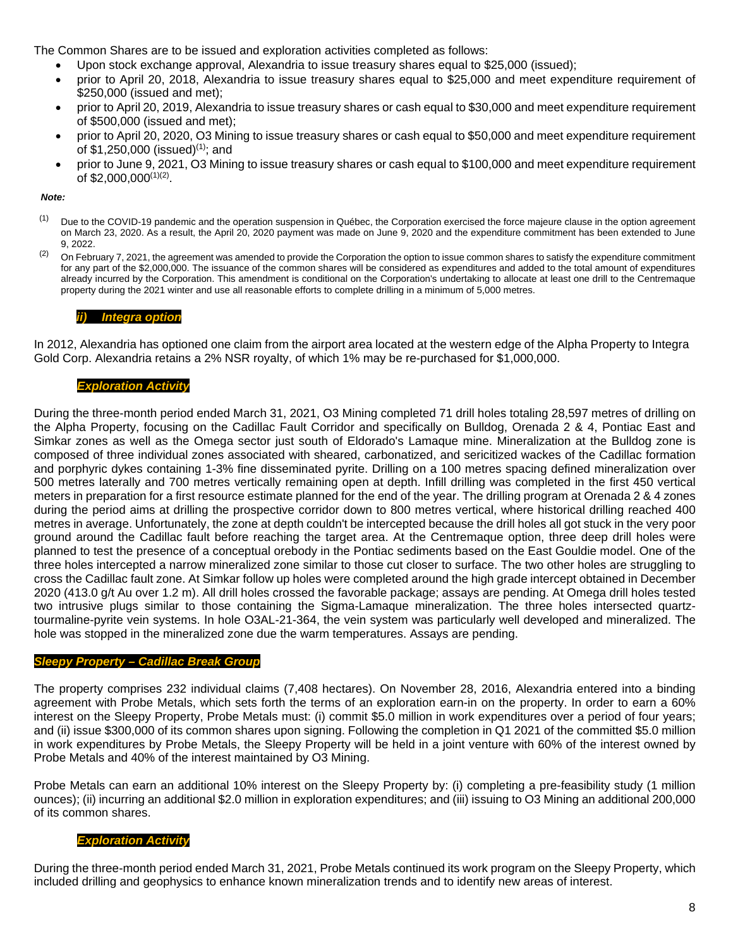The Common Shares are to be issued and exploration activities completed as follows:

- Upon stock exchange approval, Alexandria to issue treasury shares equal to \$25,000 (issued);
- prior to April 20, 2018, Alexandria to issue treasury shares equal to \$25,000 and meet expenditure requirement of \$250,000 (issued and met);
- prior to April 20, 2019, Alexandria to issue treasury shares or cash equal to \$30,000 and meet expenditure requirement of \$500,000 (issued and met);
- prior to April 20, 2020, O3 Mining to issue treasury shares or cash equal to \$50,000 and meet expenditure requirement of \$1,250,000 (issued)<sup>(1)</sup>; and
- prior to June 9, 2021, O3 Mining to issue treasury shares or cash equal to \$100,000 and meet expenditure requirement of \$2,000,000(1)(2) .

#### *Note:*

- $<sup>(1)</sup>$  Due to the COVID-19 pandemic and the operation suspension in Québec, the Corporation exercised the force majeure clause in the option agreement</sup> on March 23, 2020. As a result, the April 20, 2020 payment was made on June 9, 2020 and the expenditure commitment has been extended to June 9, 2022.
- $(2)$  On February 7, 2021, the agreement was amended to provide the Corporation the option to issue common shares to satisfy the expenditure commitment for any part of the \$2,000,000. The issuance of the common shares will be considered as expenditures and added to the total amount of expenditures already incurred by the Corporation. This amendment is conditional on the Corporation's undertaking to allocate at least one drill to the Centremaque property during the 2021 winter and use all reasonable efforts to complete drilling in a minimum of 5,000 metres.

### *ii) Integra option*

In 2012, Alexandria has optioned one claim from the airport area located at the western edge of the Alpha Property to Integra Gold Corp. Alexandria retains a 2% NSR royalty, of which 1% may be re-purchased for \$1,000,000.

### *Exploration Activity*

During the three-month period ended March 31, 2021, O3 Mining completed 71 drill holes totaling 28,597 metres of drilling on the Alpha Property, focusing on the Cadillac Fault Corridor and specifically on Bulldog, Orenada 2 & 4, Pontiac East and Simkar zones as well as the Omega sector just south of Eldorado's Lamaque mine. Mineralization at the Bulldog zone is composed of three individual zones associated with sheared, carbonatized, and sericitized wackes of the Cadillac formation and porphyric dykes containing 1-3% fine disseminated pyrite. Drilling on a 100 metres spacing defined mineralization over 500 metres laterally and 700 metres vertically remaining open at depth. Infill drilling was completed in the first 450 vertical meters in preparation for a first resource estimate planned for the end of the year. The drilling program at Orenada 2 & 4 zones during the period aims at drilling the prospective corridor down to 800 metres vertical, where historical drilling reached 400 metres in average. Unfortunately, the zone at depth couldn't be intercepted because the drill holes all got stuck in the very poor ground around the Cadillac fault before reaching the target area. At the Centremaque option, three deep drill holes were planned to test the presence of a conceptual orebody in the Pontiac sediments based on the East Gouldie model. One of the three holes intercepted a narrow mineralized zone similar to those cut closer to surface. The two other holes are struggling to cross the Cadillac fault zone. At Simkar follow up holes were completed around the high grade intercept obtained in December 2020 (413.0 g/t Au over 1.2 m). All drill holes crossed the favorable package; assays are pending. At Omega drill holes tested two intrusive plugs similar to those containing the Sigma-Lamaque mineralization. The three holes intersected quartztourmaline-pyrite vein systems. In hole O3AL-21-364, the vein system was particularly well developed and mineralized. The hole was stopped in the mineralized zone due the warm temperatures. Assays are pending.

### *Sleepy Property – Cadillac Break Group*

The property comprises 232 individual claims (7,408 hectares). On November 28, 2016, Alexandria entered into a binding agreement with Probe Metals, which sets forth the terms of an exploration earn-in on the property. In order to earn a 60% interest on the Sleepy Property, Probe Metals must: (i) commit \$5.0 million in work expenditures over a period of four years; and (ii) issue \$300,000 of its common shares upon signing. Following the completion in Q1 2021 of the committed \$5.0 million in work expenditures by Probe Metals, the Sleepy Property will be held in a joint venture with 60% of the interest owned by Probe Metals and 40% of the interest maintained by O3 Mining.

Probe Metals can earn an additional 10% interest on the Sleepy Property by: (i) completing a pre-feasibility study (1 million ounces); (ii) incurring an additional \$2.0 million in exploration expenditures; and (iii) issuing to O3 Mining an additional 200,000 of its common shares.

### *Exploration Activity*

During the three-month period ended March 31, 2021, Probe Metals continued its work program on the Sleepy Property, which included drilling and geophysics to enhance known mineralization trends and to identify new areas of interest.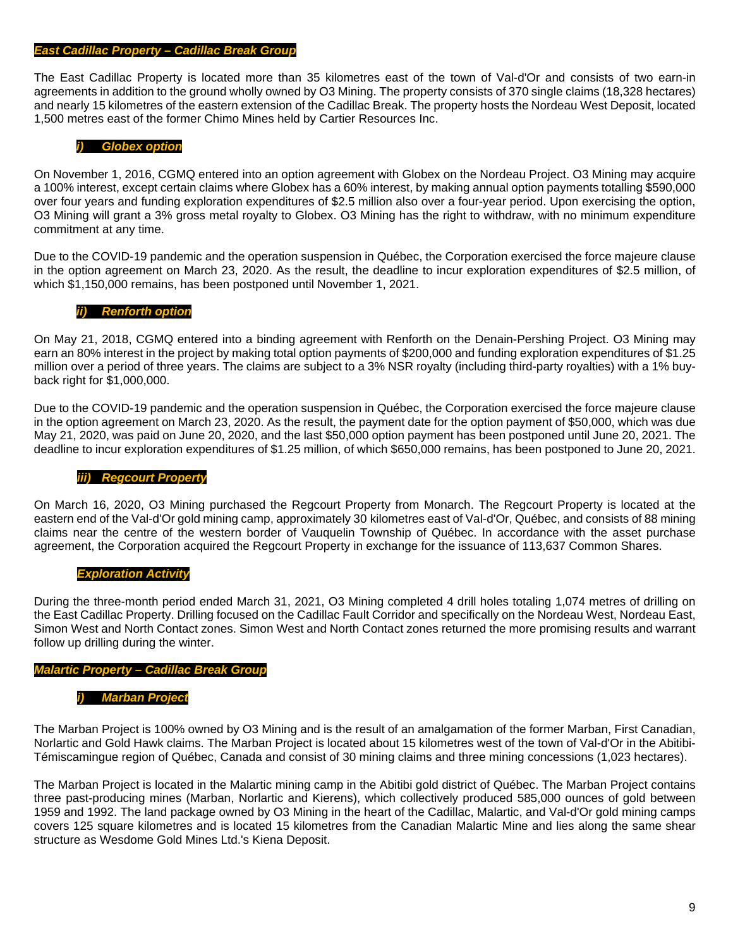#### *East Cadillac Property – Cadillac Break Group*

The East Cadillac Property is located more than 35 kilometres east of the town of Val-d'Or and consists of two earn-in agreements in addition to the ground wholly owned by O3 Mining. The property consists of 370 single claims (18,328 hectares) and nearly 15 kilometres of the eastern extension of the Cadillac Break. The property hosts the Nordeau West Deposit, located 1,500 metres east of the former Chimo Mines held by Cartier Resources Inc.

#### *i) Globex option*

On November 1, 2016, CGMQ entered into an option agreement with Globex on the Nordeau Project. O3 Mining may acquire a 100% interest, except certain claims where Globex has a 60% interest, by making annual option payments totalling \$590,000 over four years and funding exploration expenditures of \$2.5 million also over a four-year period. Upon exercising the option, O3 Mining will grant a 3% gross metal royalty to Globex. O3 Mining has the right to withdraw, with no minimum expenditure commitment at any time.

Due to the COVID-19 pandemic and the operation suspension in Québec, the Corporation exercised the force majeure clause in the option agreement on March 23, 2020. As the result, the deadline to incur exploration expenditures of \$2.5 million, of which \$1,150,000 remains, has been postponed until November 1, 2021.

#### *ii) Renforth option*

On May 21, 2018, CGMQ entered into a binding agreement with Renforth on the Denain-Pershing Project. O3 Mining may earn an 80% interest in the project by making total option payments of \$200,000 and funding exploration expenditures of \$1.25 million over a period of three years. The claims are subject to a 3% NSR royalty (including third-party royalties) with a 1% buyback right for \$1,000,000.

Due to the COVID-19 pandemic and the operation suspension in Québec, the Corporation exercised the force majeure clause in the option agreement on March 23, 2020. As the result, the payment date for the option payment of \$50,000, which was due May 21, 2020, was paid on June 20, 2020, and the last \$50,000 option payment has been postponed until June 20, 2021. The deadline to incur exploration expenditures of \$1.25 million, of which \$650,000 remains, has been postponed to June 20, 2021.

#### *iii) Regcourt Property*

On March 16, 2020, O3 Mining purchased the Regcourt Property from Monarch. The Regcourt Property is located at the eastern end of the Val-d'Or gold mining camp, approximately 30 kilometres east of Val-d'Or, Québec, and consists of 88 mining claims near the centre of the western border of Vauquelin Township of Québec. In accordance with the asset purchase agreement, the Corporation acquired the Regcourt Property in exchange for the issuance of 113,637 Common Shares.

#### *Exploration Activity*

During the three-month period ended March 31, 2021, O3 Mining completed 4 drill holes totaling 1,074 metres of drilling on the East Cadillac Property. Drilling focused on the Cadillac Fault Corridor and specifically on the Nordeau West, Nordeau East, Simon West and North Contact zones. Simon West and North Contact zones returned the more promising results and warrant follow up drilling during the winter.

#### *Malartic Property – Cadillac Break Group*

#### *i) Marban Project*

The Marban Project is 100% owned by O3 Mining and is the result of an amalgamation of the former Marban, First Canadian, Norlartic and Gold Hawk claims. The Marban Project is located about 15 kilometres west of the town of Val-d'Or in the Abitibi-Témiscamingue region of Québec, Canada and consist of 30 mining claims and three mining concessions (1,023 hectares).

The Marban Project is located in the Malartic mining camp in the Abitibi gold district of Québec. The Marban Project contains three past-producing mines (Marban, Norlartic and Kierens), which collectively produced 585,000 ounces of gold between 1959 and 1992. The land package owned by O3 Mining in the heart of the Cadillac, Malartic, and Val-d'Or gold mining camps covers 125 square kilometres and is located 15 kilometres from the Canadian Malartic Mine and lies along the same shear structure as Wesdome Gold Mines Ltd.'s Kiena Deposit.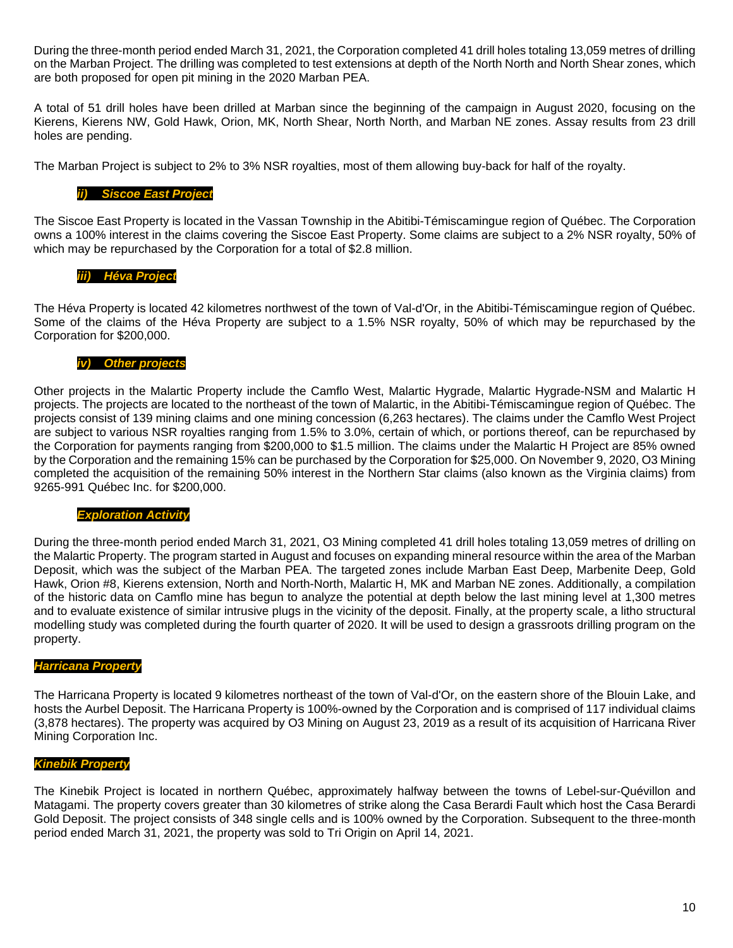During the three-month period ended March 31, 2021, the Corporation completed 41 drill holes totaling 13,059 metres of drilling on the Marban Project. The drilling was completed to test extensions at depth of the North North and North Shear zones, which are both proposed for open pit mining in the 2020 Marban PEA.

A total of 51 drill holes have been drilled at Marban since the beginning of the campaign in August 2020, focusing on the Kierens, Kierens NW, Gold Hawk, Orion, MK, North Shear, North North, and Marban NE zones. Assay results from 23 drill holes are pending.

The Marban Project is subject to 2% to 3% NSR royalties, most of them allowing buy-back for half of the royalty.

#### *ii) Siscoe East Project*

The Siscoe East Property is located in the Vassan Township in the Abitibi-Témiscamingue region of Québec. The Corporation owns a 100% interest in the claims covering the Siscoe East Property. Some claims are subject to a 2% NSR royalty, 50% of which may be repurchased by the Corporation for a total of \$2.8 million.

#### *iii) Héva Project*

The Héva Property is located 42 kilometres northwest of the town of Val-d'Or, in the Abitibi-Témiscamingue region of Québec. Some of the claims of the Héva Property are subject to a 1.5% NSR royalty, 50% of which may be repurchased by the Corporation for \$200,000.

### *iv) Other projects*

Other projects in the Malartic Property include the Camflo West, Malartic Hygrade, Malartic Hygrade-NSM and Malartic H projects. The projects are located to the northeast of the town of Malartic, in the Abitibi-Témiscamingue region of Québec. The projects consist of 139 mining claims and one mining concession (6,263 hectares). The claims under the Camflo West Project are subject to various NSR royalties ranging from 1.5% to 3.0%, certain of which, or portions thereof, can be repurchased by the Corporation for payments ranging from \$200,000 to \$1.5 million. The claims under the Malartic H Project are 85% owned by the Corporation and the remaining 15% can be purchased by the Corporation for \$25,000. On November 9, 2020, O3 Mining completed the acquisition of the remaining 50% interest in the Northern Star claims (also known as the Virginia claims) from 9265-991 Québec Inc. for \$200,000.

### *Exploration Activity*

During the three-month period ended March 31, 2021, O3 Mining completed 41 drill holes totaling 13,059 metres of drilling on the Malartic Property. The program started in August and focuses on expanding mineral resource within the area of the Marban Deposit, which was the subject of the Marban PEA. The targeted zones include Marban East Deep, Marbenite Deep, Gold Hawk, Orion #8, Kierens extension, North and North-North, Malartic H, MK and Marban NE zones. Additionally, a compilation of the historic data on Camflo mine has begun to analyze the potential at depth below the last mining level at 1,300 metres and to evaluate existence of similar intrusive plugs in the vicinity of the deposit. Finally, at the property scale, a litho structural modelling study was completed during the fourth quarter of 2020. It will be used to design a grassroots drilling program on the property.

#### *Harricana Property*

The Harricana Property is located 9 kilometres northeast of the town of Val-d'Or, on the eastern shore of the Blouin Lake, and hosts the Aurbel Deposit. The Harricana Property is 100%-owned by the Corporation and is comprised of 117 individual claims (3,878 hectares). The property was acquired by O3 Mining on August 23, 2019 as a result of its acquisition of Harricana River Mining Corporation Inc.

## *Kinebik Property*

The Kinebik Project is located in northern Québec, approximately halfway between the towns of Lebel-sur-Quévillon and Matagami. The property covers greater than 30 kilometres of strike along the Casa Berardi Fault which host the Casa Berardi Gold Deposit. The project consists of 348 single cells and is 100% owned by the Corporation. Subsequent to the three-month period ended March 31, 2021, the property was sold to Tri Origin on April 14, 2021.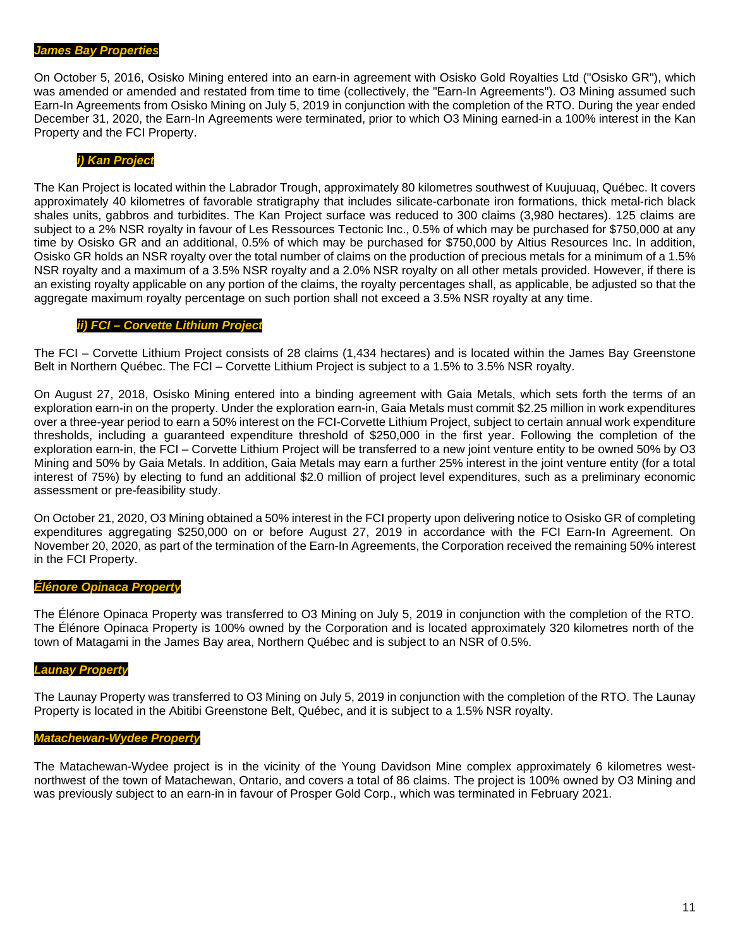#### *James Bay Properties*

On October 5, 2016, Osisko Mining entered into an earn-in agreement with Osisko Gold Royalties Ltd ("Osisko GR"), which was amended or amended and restated from time to time (collectively, the "Earn-In Agreements"). O3 Mining assumed such Earn-In Agreements from Osisko Mining on July 5, 2019 in conjunction with the completion of the RTO. During the year ended December 31, 2020, the Earn-In Agreements were terminated, prior to which O3 Mining earned-in a 100% interest in the Kan Property and the FCI Property.

#### *i) Kan Project*

The Kan Project is located within the Labrador Trough, approximately 80 kilometres southwest of Kuujuuaq, Québec. It covers approximately 40 kilometres of favorable stratigraphy that includes silicate-carbonate iron formations, thick metal-rich black shales units, gabbros and turbidites. The Kan Project surface was reduced to 300 claims (3,980 hectares). 125 claims are subject to a 2% NSR royalty in favour of Les Ressources Tectonic Inc., 0.5% of which may be purchased for \$750,000 at any time by Osisko GR and an additional, 0.5% of which may be purchased for \$750,000 by Altius Resources Inc. In addition, Osisko GR holds an NSR royalty over the total number of claims on the production of precious metals for a minimum of a 1.5% NSR royalty and a maximum of a 3.5% NSR royalty and a 2.0% NSR royalty on all other metals provided. However, if there is an existing royalty applicable on any portion of the claims, the royalty percentages shall, as applicable, be adjusted so that the aggregate maximum royalty percentage on such portion shall not exceed a 3.5% NSR royalty at any time.

#### *ii) FCI – Corvette Lithium Project*

The FCI – Corvette Lithium Project consists of 28 claims (1,434 hectares) and is located within the James Bay Greenstone Belt in Northern Québec. The FCI – Corvette Lithium Project is subject to a 1.5% to 3.5% NSR royalty.

On August 27, 2018, Osisko Mining entered into a binding agreement with Gaia Metals, which sets forth the terms of an exploration earn-in on the property. Under the exploration earn-in, Gaia Metals must commit \$2.25 million in work expenditures over a three-year period to earn a 50% interest on the FCI-Corvette Lithium Project, subject to certain annual work expenditure thresholds, including a guaranteed expenditure threshold of \$250,000 in the first year. Following the completion of the exploration earn-in, the FCI – Corvette Lithium Project will be transferred to a new joint venture entity to be owned 50% by O3 Mining and 50% by Gaia Metals. In addition, Gaia Metals may earn a further 25% interest in the joint venture entity (for a total interest of 75%) by electing to fund an additional \$2.0 million of project level expenditures, such as a preliminary economic assessment or pre-feasibility study.

On October 21, 2020, O3 Mining obtained a 50% interest in the FCI property upon delivering notice to Osisko GR of completing expenditures aggregating \$250,000 on or before August 27, 2019 in accordance with the FCI Earn-In Agreement. On November 20, 2020, as part of the termination of the Earn-In Agreements, the Corporation received the remaining 50% interest in the FCI Property.

#### *Élénore Opinaca Property*

The Élénore Opinaca Property was transferred to O3 Mining on July 5, 2019 in conjunction with the completion of the RTO. The Élénore Opinaca Property is 100% owned by the Corporation and is located approximately 320 kilometres north of the town of Matagami in the James Bay area, Northern Québec and is subject to an NSR of 0.5%.

#### *Launay Property*

The Launay Property was transferred to O3 Mining on July 5, 2019 in conjunction with the completion of the RTO. The Launay Property is located in the Abitibi Greenstone Belt, Québec, and it is subject to a 1.5% NSR royalty.

# *Matachewan-Wydee Property*

The Matachewan-Wydee project is in the vicinity of the Young Davidson Mine complex approximately 6 kilometres westnorthwest of the town of Matachewan, Ontario, and covers a total of 86 claims. The project is 100% owned by O3 Mining and was previously subject to an earn-in in favour of Prosper Gold Corp., which was terminated in February 2021.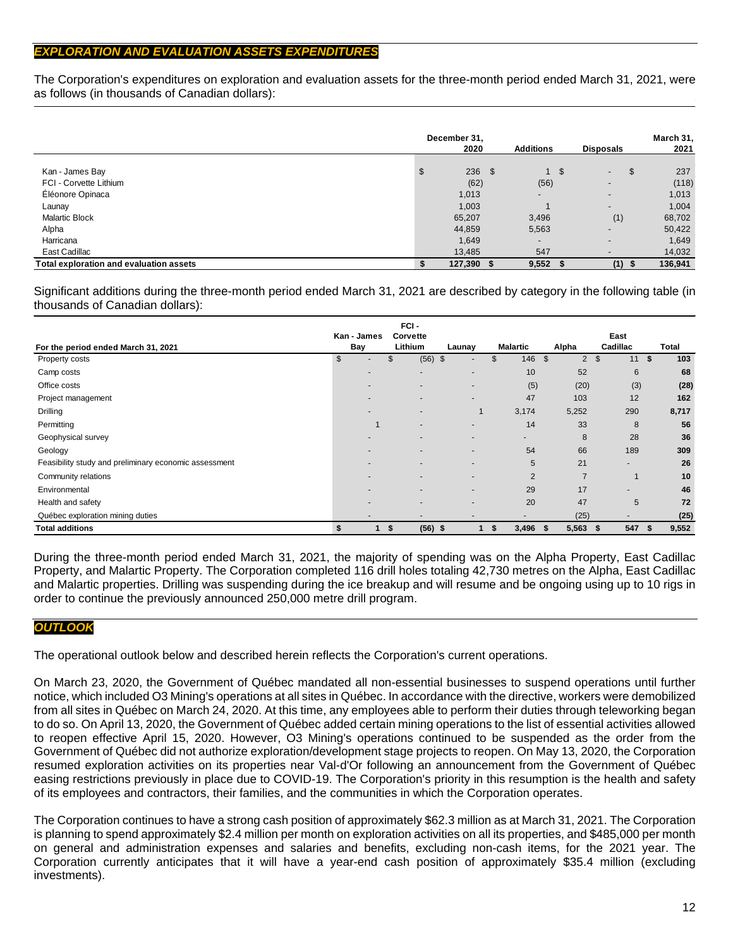# *EXPLORATION AND EVALUATION ASSETS EXPENDITURES*

The Corporation's expenditures on exploration and evaluation assets for the three-month period ended March 31, 2021, were as follows (in thousands of Canadian dollars):

|                                         | December 31,<br>2020 | <b>Additions</b>         | <b>Disposals</b>         | March 31,<br>2021 |
|-----------------------------------------|----------------------|--------------------------|--------------------------|-------------------|
| Kan - James Bay                         | \$<br>$236$ \$       | -\$                      | \$<br>$\sim$             | 237               |
| FCI - Corvette Lithium                  | (62)                 | (56)                     | $\overline{\phantom{0}}$ | (118)             |
| Éléonore Opinaca                        | 1,013                | $\overline{\phantom{0}}$ | $\overline{\phantom{0}}$ | 1,013             |
| Launay                                  | 1,003                |                          | $\overline{\phantom{0}}$ | 1,004             |
| <b>Malartic Block</b>                   | 65,207               | 3,496                    | (1)                      | 68,702            |
| Alpha                                   | 44,859               | 5,563                    | $\overline{\phantom{0}}$ | 50,422            |
| Harricana                               | 1,649                | $\overline{\phantom{a}}$ | $\overline{\phantom{0}}$ | 1,649             |
| East Cadillac                           | 13,485               | 547                      | $\overline{\phantom{0}}$ | 14,032            |
| Total exploration and evaluation assets | 127,390 \$           | $9,552$ \$               | $(1)$ \$                 | 136,941           |

Significant additions during the three-month period ended March 31, 2021 are described by category in the following table (in thousands of Canadian dollars):

|                                                       |                | FCI-                     |                          |                          |                                  |                          |       |
|-------------------------------------------------------|----------------|--------------------------|--------------------------|--------------------------|----------------------------------|--------------------------|-------|
|                                                       | Kan - James    | Corvette                 |                          |                          |                                  | East                     |       |
| For the period ended March 31, 2021                   | Bay            | Lithium                  | Launay                   | <b>Malartic</b>          | Alpha                            | Cadillac                 | Total |
| Property costs                                        | $\mathfrak{S}$ | (56)<br>\$               | $\frac{3}{2}$            | 146<br>\$                | $\mathfrak{S}$<br>$\overline{2}$ | \$<br>11S                | 103   |
| Camp costs                                            |                | ۰.                       |                          | 10                       | 52                               | 6                        | 68    |
| Office costs                                          |                |                          |                          | (5)                      | (20)                             | (3)                      | (28)  |
| Project management                                    |                |                          |                          | 47                       | 103                              | 12                       | 162   |
| Drilling                                              |                |                          |                          | 3,174                    | 5,252                            | 290                      | 8,717 |
| Permitting                                            |                |                          |                          | 14                       | 33                               | 8                        | 56    |
| Geophysical survey                                    |                |                          |                          | $\overline{\phantom{a}}$ | 8                                | 28                       | 36    |
| Geology                                               |                |                          |                          | 54                       | 66                               | 189                      | 309   |
| Feasibility study and preliminary economic assessment |                | $\overline{\phantom{a}}$ | $\overline{\phantom{a}}$ | 5                        | 21                               | $\overline{\phantom{a}}$ | 26    |
| Community relations                                   |                |                          |                          | $\overline{2}$           | $\overline{7}$                   |                          | 10    |
| Environmental                                         |                |                          |                          | 29                       | 17                               |                          | 46    |
| Health and safety                                     |                |                          |                          | 20                       | 47                               | 5                        | 72    |
| Québec exploration mining duties                      |                |                          |                          |                          | (25)                             |                          | (25)  |
| <b>Total additions</b>                                | \$             | (56)<br>S.               | 1<br>- \$                | 3,496<br>\$              | 5,563<br>- \$                    | 547 \$<br>- \$           | 9,552 |

During the three-month period ended March 31, 2021, the majority of spending was on the Alpha Property, East Cadillac Property, and Malartic Property. The Corporation completed 116 drill holes totaling 42,730 metres on the Alpha, East Cadillac and Malartic properties. Drilling was suspending during the ice breakup and will resume and be ongoing using up to 10 rigs in order to continue the previously announced 250,000 metre drill program.

## *OUTLOOK*

The operational outlook below and described herein reflects the Corporation's current operations.

On March 23, 2020, the Government of Québec mandated all non-essential businesses to suspend operations until further notice, which included O3 Mining's operations at all sites in Québec. In accordance with the directive, workers were demobilized from all sites in Québec on March 24, 2020. At this time, any employees able to perform their duties through teleworking began to do so. On April 13, 2020, the Government of Québec added certain mining operations to the list of essential activities allowed to reopen effective April 15, 2020. However, O3 Mining's operations continued to be suspended as the order from the Government of Québec did not authorize exploration/development stage projects to reopen. On May 13, 2020, the Corporation resumed exploration activities on its properties near Val-d'Or following an announcement from the Government of Québec easing restrictions previously in place due to COVID-19. The Corporation's priority in this resumption is the health and safety of its employees and contractors, their families, and the communities in which the Corporation operates.

The Corporation continues to have a strong cash position of approximately \$62.3 million as at March 31, 2021. The Corporation is planning to spend approximately \$2.4 million per month on exploration activities on all its properties, and \$485,000 per month on general and administration expenses and salaries and benefits, excluding non-cash items, for the 2021 year. The Corporation currently anticipates that it will have a year-end cash position of approximately \$35.4 million (excluding investments).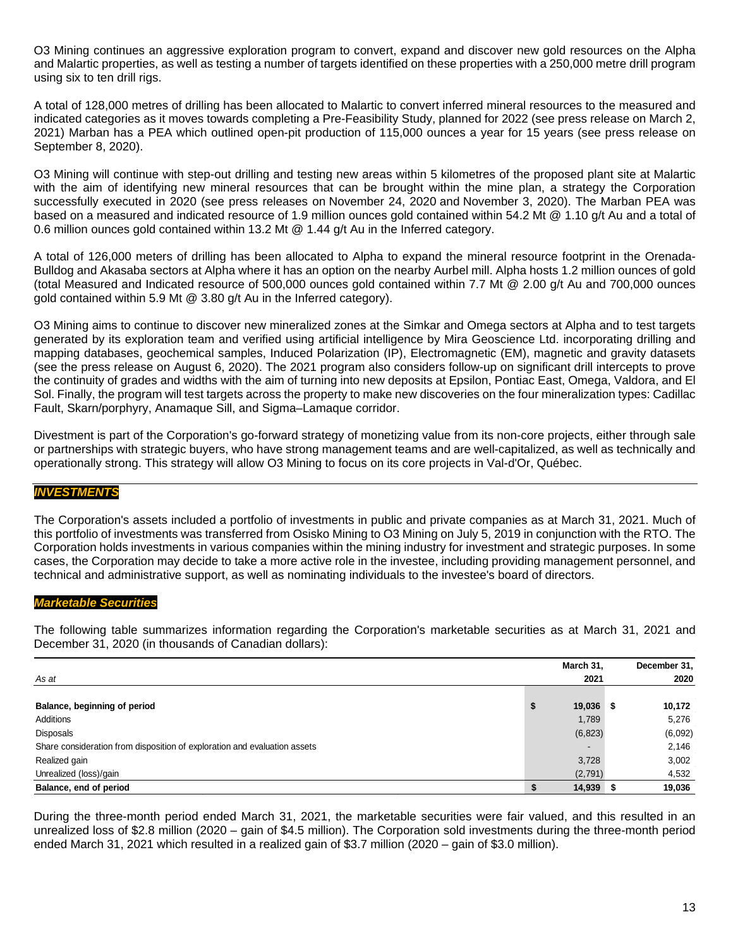O3 Mining continues an aggressive exploration program to convert, expand and discover new gold resources on the Alpha and Malartic properties, as well as testing a number of targets identified on these properties with a 250,000 metre drill program using six to ten drill rigs.

A total of 128,000 metres of drilling has been allocated to Malartic to convert inferred mineral resources to the measured and indicated categories as it moves towards completing a Pre-Feasibility Study, planned for 2022 (see press release on March 2, 2021) Marban has a PEA which outlined open-pit production of 115,000 ounces a year for 15 years (see press release on September 8, 2020).

O3 Mining will continue with step-out drilling and testing new areas within 5 kilometres of the proposed plant site at Malartic with the aim of identifying new mineral resources that can be brought within the mine plan, a strategy the Corporation successfully executed in 2020 (see press releases on [November 24, 2020](https://o3mining.com/news/o3-mining-intersects-383-4-g-t-au-over-2-0-metres-including-1510-g-t-au-over-0-5-metres-at-marban-project/) and [November 3, 2020\)](https://o3mining.com/news/o3-mining-intersects-2-9-g-t-au-over-14-2-metres-near-surface-and-145-metres-outside-of-pit-shell-at-marban-project/). The Marban PEA was based on a measured and indicated resource of 1.9 million ounces gold contained within 54.2 Mt @ 1.10 g/t Au and a total of 0.6 million ounces gold contained within 13.2 Mt @ 1.44 g/t Au in the Inferred category.

A total of 126,000 meters of drilling has been allocated to Alpha to expand the mineral resource footprint in the Orenada-Bulldog and Akasaba sectors at Alpha where it has an option on the nearby Aurbel mill. Alpha hosts 1.2 million ounces of gold (total Measured and Indicated resource of 500,000 ounces gold contained within 7.7 Mt @ 2.00 g/t Au and 700,000 ounces gold contained within 5.9 Mt @ 3.80 g/t Au in the Inferred category).

O3 Mining aims to continue to discover new mineralized zones at the Simkar and Omega sectors at Alpha and to test targets generated by its exploration team and verified using artificial intelligence by Mira Geoscience Ltd. incorporating drilling and mapping databases, geochemical samples, Induced Polarization (IP), Electromagnetic (EM), magnetic and gravity datasets (see [the press release](https://o3mining.com/news/o3-mining-identifies-over-25-targets-using-artificial-intelligence-on-alpha-property/) on August 6, 2020). The 2021 program also considers follow-up on significant drill intercepts to prove the continuity of grades and widths with the aim of turning into new deposits at Epsilon, Pontiac East, Omega, Valdora, and El Sol. Finally, the program will test targets across the property to make new discoveries on the four mineralization types: Cadillac Fault, Skarn/porphyry, Anamaque Sill, and Sigma–Lamaque corridor.

Divestment is part of the Corporation's go-forward strategy of monetizing value from its non-core projects, either through sale or partnerships with strategic buyers, who have strong management teams and are well-capitalized, as well as technically and operationally strong. This strategy will allow O3 Mining to focus on its core projects in Val-d'Or, Québec.

## *INVESTMENTS*

The Corporation's assets included a portfolio of investments in public and private companies as at March 31, 2021. Much of this portfolio of investments was transferred from Osisko Mining to O3 Mining on July 5, 2019 in conjunction with the RTO. The Corporation holds investments in various companies within the mining industry for investment and strategic purposes. In some cases, the Corporation may decide to take a more active role in the investee, including providing management personnel, and technical and administrative support, as well as nominating individuals to the investee's board of directors.

### *Marketable Securities*

The following table summarizes information regarding the Corporation's marketable securities as at March 31, 2021 and December 31, 2020 (in thousands of Canadian dollars):

|                                                                           | March 31,    |      | December 31, |
|---------------------------------------------------------------------------|--------------|------|--------------|
| As at                                                                     | 2021         |      | 2020         |
|                                                                           |              |      |              |
| Balance, beginning of period                                              | \$<br>19,036 | - 55 | 10,172       |
| Additions                                                                 | 1,789        |      | 5,276        |
| Disposals                                                                 | (6, 823)     |      | (6,092)      |
| Share consideration from disposition of exploration and evaluation assets |              |      | 2,146        |
| Realized gain                                                             | 3,728        |      | 3,002        |
| Unrealized (loss)/gain                                                    | (2,791)      |      | 4,532        |
| Balance, end of period                                                    | 14,939       |      | 19,036       |

During the three-month period ended March 31, 2021, the marketable securities were fair valued, and this resulted in an unrealized loss of \$2.8 million (2020 – gain of \$4.5 million). The Corporation sold investments during the three-month period ended March 31, 2021 which resulted in a realized gain of \$3.7 million (2020 – gain of \$3.0 million).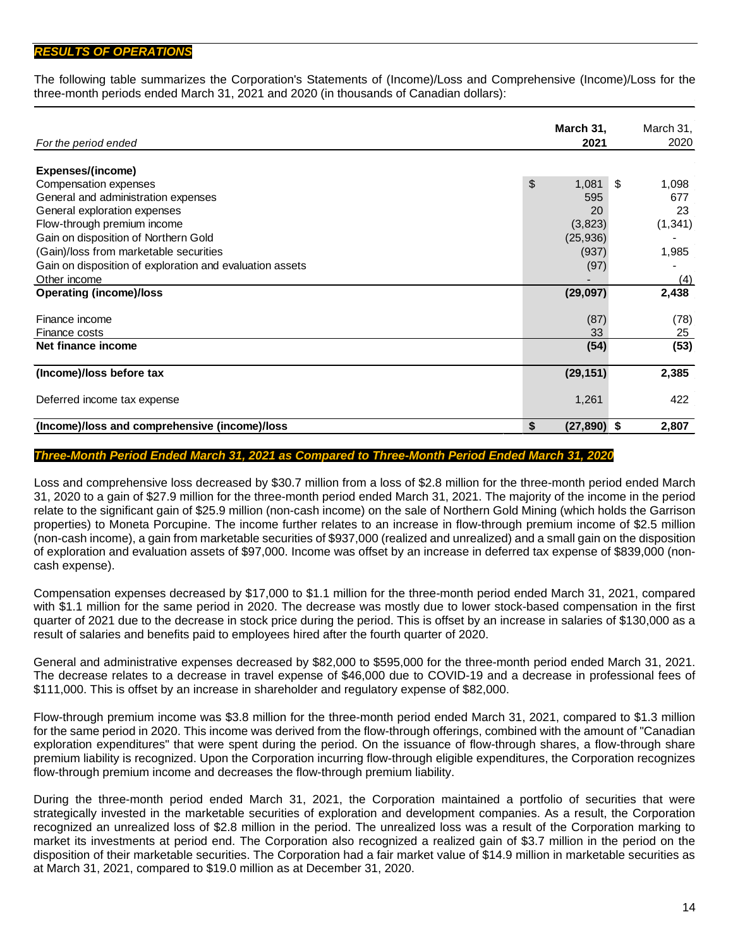## *RESULTS OF OPERATIONS*

The following table summarizes the Corporation's Statements of (Income)/Loss and Comprehensive (Income)/Loss for the three-month periods ended March 31, 2021 and 2020 (in thousands of Canadian dollars):

|                                                          | March 31,           | March 31,   |
|----------------------------------------------------------|---------------------|-------------|
| For the period ended                                     | 2021                | 2020        |
| Expenses/(income)                                        |                     |             |
| Compensation expenses                                    | \$<br>1,081         | \$<br>1,098 |
| General and administration expenses                      | 595                 | 677         |
| General exploration expenses                             | 20                  | 23          |
| Flow-through premium income                              | (3,823)             | (1, 341)    |
| Gain on disposition of Northern Gold                     | (25, 936)           |             |
| (Gain)/loss from marketable securities                   | (937)               | 1,985       |
| Gain on disposition of exploration and evaluation assets | (97)                |             |
| Other income                                             |                     | (4)         |
| <b>Operating (income)/loss</b>                           | (29,097)            | 2,438       |
|                                                          |                     |             |
| Finance income                                           | (87)                | (78)        |
| Finance costs                                            | 33                  | 25          |
| Net finance income                                       | (54)                | (53)        |
|                                                          |                     |             |
| (Income)/loss before tax                                 | (29, 151)           | 2,385       |
| Deferred income tax expense                              | 1,261               | 422         |
| (Income)/loss and comprehensive (income)/loss            | \$<br>$(27,890)$ \$ | 2,807       |

#### *Three-Month Period Ended March 31, 2021 as Compared to Three-Month Period Ended March 31, 2020*

Loss and comprehensive loss decreased by \$30.7 million from a loss of \$2.8 million for the three-month period ended March 31, 2020 to a gain of \$27.9 million for the three-month period ended March 31, 2021. The majority of the income in the period relate to the significant gain of \$25.9 million (non-cash income) on the sale of Northern Gold Mining (which holds the Garrison properties) to Moneta Porcupine. The income further relates to an increase in flow-through premium income of \$2.5 million (non-cash income), a gain from marketable securities of \$937,000 (realized and unrealized) and a small gain on the disposition of exploration and evaluation assets of \$97,000. Income was offset by an increase in deferred tax expense of \$839,000 (noncash expense).

Compensation expenses decreased by \$17,000 to \$1.1 million for the three-month period ended March 31, 2021, compared with \$1.1 million for the same period in 2020. The decrease was mostly due to lower stock-based compensation in the first quarter of 2021 due to the decrease in stock price during the period. This is offset by an increase in salaries of \$130,000 as a result of salaries and benefits paid to employees hired after the fourth quarter of 2020.

General and administrative expenses decreased by \$82,000 to \$595,000 for the three-month period ended March 31, 2021. The decrease relates to a decrease in travel expense of \$46,000 due to COVID-19 and a decrease in professional fees of \$111,000. This is offset by an increase in shareholder and regulatory expense of \$82,000.

Flow-through premium income was \$3.8 million for the three-month period ended March 31, 2021, compared to \$1.3 million for the same period in 2020. This income was derived from the flow-through offerings, combined with the amount of "Canadian exploration expenditures" that were spent during the period. On the issuance of flow-through shares, a flow-through share premium liability is recognized. Upon the Corporation incurring flow-through eligible expenditures, the Corporation recognizes flow-through premium income and decreases the flow-through premium liability.

During the three-month period ended March 31, 2021, the Corporation maintained a portfolio of securities that were strategically invested in the marketable securities of exploration and development companies. As a result, the Corporation recognized an unrealized loss of \$2.8 million in the period. The unrealized loss was a result of the Corporation marking to market its investments at period end. The Corporation also recognized a realized gain of \$3.7 million in the period on the disposition of their marketable securities. The Corporation had a fair market value of \$14.9 million in marketable securities as at March 31, 2021, compared to \$19.0 million as at December 31, 2020.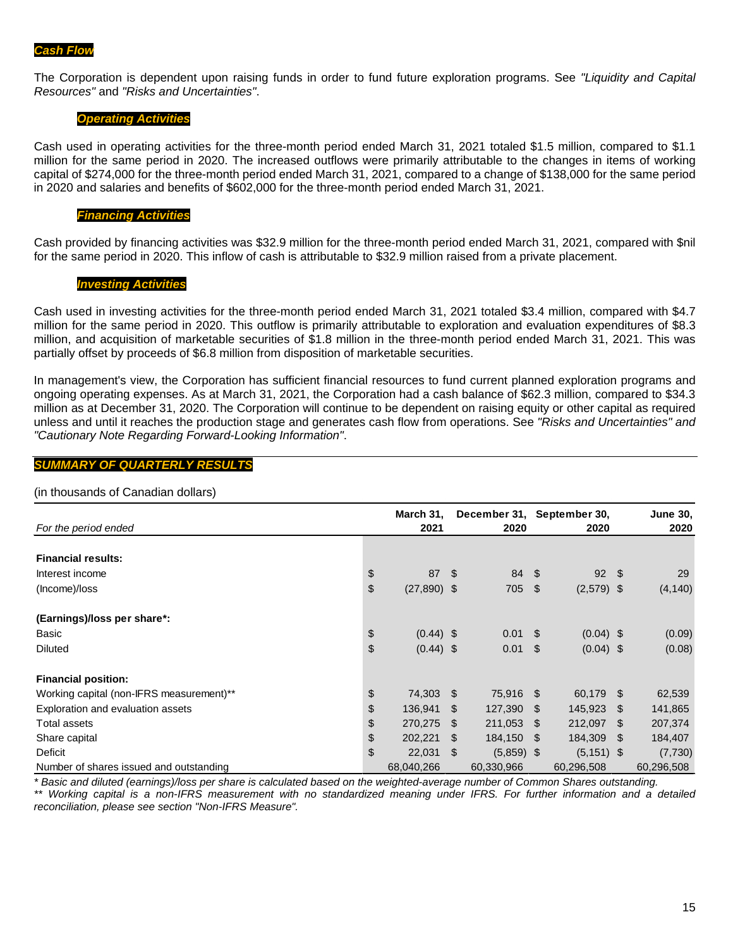The Corporation is dependent upon raising funds in order to fund future exploration programs. See *"Liquidity and Capital Resources"* and *"Risks and Uncertainties"*.

#### *Operating Activities*

Cash used in operating activities for the three-month period ended March 31, 2021 totaled \$1.5 million, compared to \$1.1 million for the same period in 2020. The increased outflows were primarily attributable to the changes in items of working capital of \$274,000 for the three-month period ended March 31, 2021, compared to a change of \$138,000 for the same period in 2020 and salaries and benefits of \$602,000 for the three-month period ended March 31, 2021.

#### *Financing Activities*

Cash provided by financing activities was \$32.9 million for the three-month period ended March 31, 2021, compared with \$nil for the same period in 2020. This inflow of cash is attributable to \$32.9 million raised from a private placement.

#### *Investing Activities*

Cash used in investing activities for the three-month period ended March 31, 2021 totaled \$3.4 million, compared with \$4.7 million for the same period in 2020. This outflow is primarily attributable to exploration and evaluation expenditures of \$8.3 million, and acquisition of marketable securities of \$1.8 million in the three-month period ended March 31, 2021. This was partially offset by proceeds of \$6.8 million from disposition of marketable securities.

In management's view, the Corporation has sufficient financial resources to fund current planned exploration programs and ongoing operating expenses. As at March 31, 2021, the Corporation had a cash balance of \$62.3 million, compared to \$34.3 million as at December 31, 2020. The Corporation will continue to be dependent on raising equity or other capital as required unless and until it reaches the production stage and generates cash flow from operations. See *"Risks and Uncertainties" and "Cautionary Note Regarding Forward-Looking Information"*.

#### *SUMMARY OF QUARTERLY RESULTS*

#### (in thousands of Canadian dollars)

| For the period ended                     | March 31,<br>2021   |      | December 31, September 30,<br>2020 |      | 2020          |      | <b>June 30,</b><br>2020 |
|------------------------------------------|---------------------|------|------------------------------------|------|---------------|------|-------------------------|
|                                          |                     |      |                                    |      |               |      |                         |
| <b>Financial results:</b>                |                     |      |                                    |      |               |      |                         |
| Interest income                          | \$<br>87            | - \$ | 84 \$                              |      | $92 \quad$    |      | 29                      |
| (Income)/loss                            | \$<br>$(27,890)$ \$ |      | 705 \$                             |      | $(2,579)$ \$  |      | (4, 140)                |
| (Earnings)/loss per share*:              |                     |      |                                    |      |               |      |                         |
| Basic                                    | \$<br>$(0.44)$ \$   |      | $0.01 \quad$ \$                    |      | $(0.04)$ \$   |      | (0.09)                  |
| <b>Diluted</b>                           | \$<br>$(0.44)$ \$   |      | 0.01                               | -\$  | $(0.04)$ \$   |      | (0.08)                  |
| <b>Financial position:</b>               |                     |      |                                    |      |               |      |                         |
| Working capital (non-IFRS measurement)** | \$<br>74,303        | - SS | 75,916 \$                          |      | 60,179 \$     |      | 62,539                  |
| Exploration and evaluation assets        | \$<br>136,941       | \$.  | 127,390                            | - \$ | 145,923 \$    |      | 141,865                 |
| Total assets                             | \$<br>270,275       | \$.  | 211,053                            | \$   | 212,097       | \$   | 207,374                 |
| Share capital                            | \$<br>202,221       | \$.  | 184,150                            | \$   | 184,309       | - \$ | 184,407                 |
| <b>Deficit</b>                           | \$<br>22,031        | \$   | $(5,859)$ \$                       |      | $(5, 151)$ \$ |      | (7, 730)                |
| Number of shares issued and outstanding  | 68,040,266          |      | 60,330,966                         |      | 60,296,508    |      | 60,296,508              |

*\* Basic and diluted (earnings)/loss per share is calculated based on the weighted-average number of Common Shares outstanding. \*\* Working capital is a non-IFRS measurement with no standardized meaning under IFRS. For further information and a detailed reconciliation, please see section "Non-IFRS Measure".*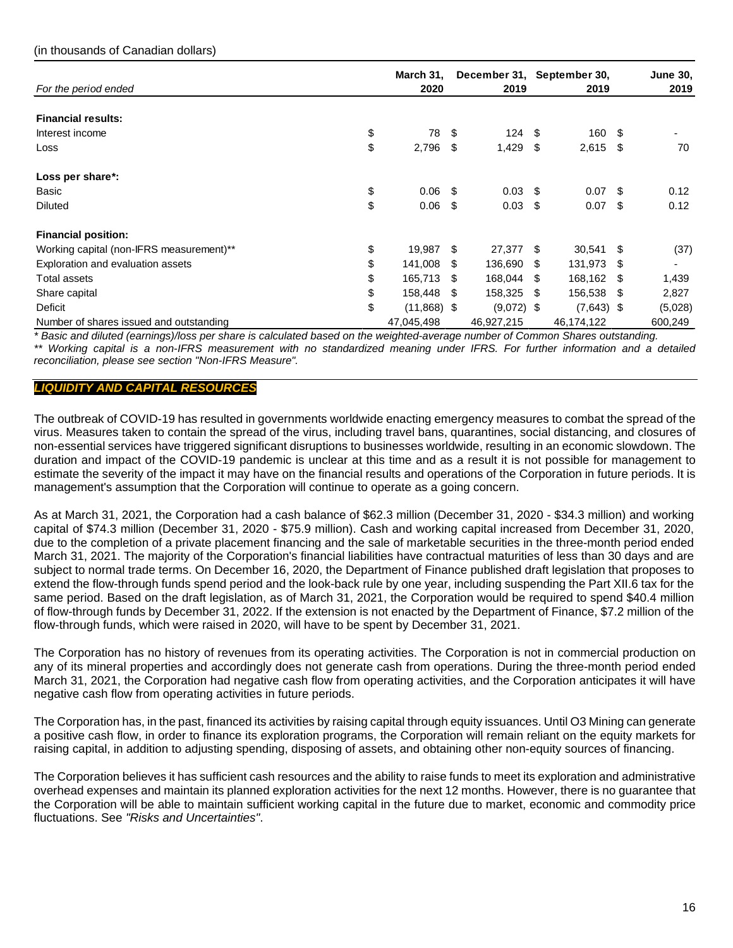| For the period ended                     | March 31,<br>2020   |     | December 31, September 30,<br>2019 |     | 2019         |      | <b>June 30,</b><br>2019 |
|------------------------------------------|---------------------|-----|------------------------------------|-----|--------------|------|-------------------------|
|                                          |                     |     |                                    |     |              |      |                         |
| <b>Financial results:</b>                |                     |     |                                    |     |              |      |                         |
| Interest income                          | \$<br>78            | \$  | $124 \quad$ \$                     |     | 160 \$       |      |                         |
| Loss                                     | \$<br>2,796         | \$  | $1,429$ \$                         |     | $2,615$ \$   |      | 70                      |
| Loss per share*:                         |                     |     |                                    |     |              |      |                         |
| Basic                                    | \$<br>0.06          | -S  | $0.03$ \$                          |     | $0.07$ \$    |      | 0.12                    |
| <b>Diluted</b>                           | \$<br>0.06          | \$  | $0.03$ \$                          |     | $0.07$ \$    |      | 0.12                    |
| <b>Financial position:</b>               |                     |     |                                    |     |              |      |                         |
| Working capital (non-IFRS measurement)** | \$<br>19,987        | \$  | 27,377 \$                          |     | 30,541       | - \$ | (37)                    |
| Exploration and evaluation assets        | \$<br>141,008       | \$. | 136,690                            | -\$ | 131,973      | - \$ |                         |
| Total assets                             | \$<br>165,713       | \$. | 168,044                            | \$  | 168,162      | S    | 1,439                   |
| Share capital                            | \$<br>158,448       | S   | 158,325                            | -\$ | 156,538      | - \$ | 2,827                   |
| Deficit                                  | \$<br>$(11,868)$ \$ |     | $(9,072)$ \$                       |     | $(7,643)$ \$ |      | (5,028)                 |
| Number of shares issued and outstanding  | 47,045,498          |     | 46,927,215                         |     | 46,174,122   |      | 600,249                 |

*\* Basic and diluted (earnings)/loss per share is calculated based on the weighted-average number of Common Shares outstanding. \*\* Working capital is a non-IFRS measurement with no standardized meaning under IFRS. For further information and a detailed reconciliation, please see section "Non-IFRS Measure".*

# *LIQUIDITY AND CAPITAL RESOURCES*

The outbreak of COVID-19 has resulted in governments worldwide enacting emergency measures to combat the spread of the virus. Measures taken to contain the spread of the virus, including travel bans, quarantines, social distancing, and closures of non-essential services have triggered significant disruptions to businesses worldwide, resulting in an economic slowdown. The duration and impact of the COVID-19 pandemic is unclear at this time and as a result it is not possible for management to estimate the severity of the impact it may have on the financial results and operations of the Corporation in future periods. It is management's assumption that the Corporation will continue to operate as a going concern.

As at March 31, 2021, the Corporation had a cash balance of \$62.3 million (December 31, 2020 - \$34.3 million) and working capital of \$74.3 million (December 31, 2020 - \$75.9 million). Cash and working capital increased from December 31, 2020, due to the completion of a private placement financing and the sale of marketable securities in the three-month period ended March 31, 2021. The majority of the Corporation's financial liabilities have contractual maturities of less than 30 days and are subject to normal trade terms. On December 16, 2020, the Department of Finance published draft legislation that proposes to extend the flow-through funds spend period and the look-back rule by one year, including suspending the Part XII.6 tax for the same period. Based on the draft legislation, as of March 31, 2021, the Corporation would be required to spend \$40.4 million of flow-through funds by December 31, 2022. If the extension is not enacted by the Department of Finance, \$7.2 million of the flow-through funds, which were raised in 2020, will have to be spent by December 31, 2021.

The Corporation has no history of revenues from its operating activities. The Corporation is not in commercial production on any of its mineral properties and accordingly does not generate cash from operations. During the three-month period ended March 31, 2021, the Corporation had negative cash flow from operating activities, and the Corporation anticipates it will have negative cash flow from operating activities in future periods.

The Corporation has, in the past, financed its activities by raising capital through equity issuances. Until O3 Mining can generate a positive cash flow, in order to finance its exploration programs, the Corporation will remain reliant on the equity markets for raising capital, in addition to adjusting spending, disposing of assets, and obtaining other non-equity sources of financing.

The Corporation believes it has sufficient cash resources and the ability to raise funds to meet its exploration and administrative overhead expenses and maintain its planned exploration activities for the next 12 months. However, there is no guarantee that the Corporation will be able to maintain sufficient working capital in the future due to market, economic and commodity price fluctuations. See *"Risks and Uncertainties"*.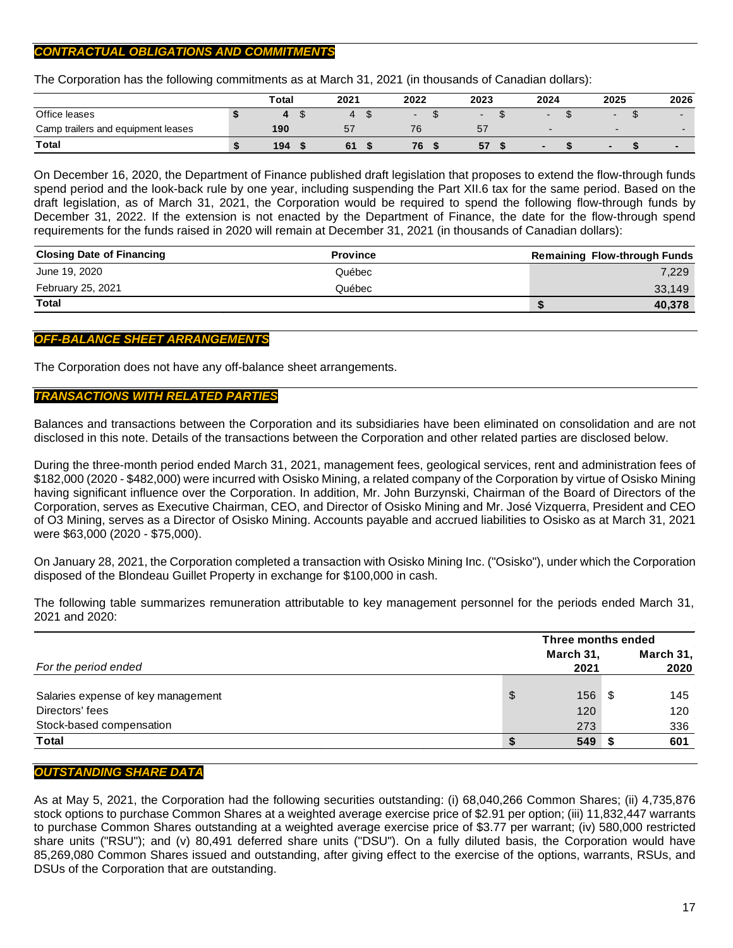# *CONTRACTUAL OBLIGATIONS AND COMMITMENTS*

The Corporation has the following commitments as at March 31, 2021 (in thousands of Canadian dollars):

|                                    | <b>Total</b> | 2021 | 2022                     | 2023                     | 2024                     | 2025                     | 2026                     |
|------------------------------------|--------------|------|--------------------------|--------------------------|--------------------------|--------------------------|--------------------------|
| Office leases                      |              |      | $\overline{\phantom{0}}$ | $\overline{\phantom{a}}$ |                          | $\overline{\phantom{0}}$ |                          |
| Camp trailers and equipment leases | 190          | 57   |                          | 57                       | $\overline{\phantom{0}}$ | $\sim$                   |                          |
| Total                              | 194          | 61   | 76                       | 57                       | -                        |                          | $\overline{\phantom{a}}$ |

On December 16, 2020, the Department of Finance published draft legislation that proposes to extend the flow-through funds spend period and the look-back rule by one year, including suspending the Part XII.6 tax for the same period. Based on the draft legislation, as of March 31, 2021, the Corporation would be required to spend the following flow-through funds by December 31, 2022. If the extension is not enacted by the Department of Finance, the date for the flow-through spend requirements for the funds raised in 2020 will remain at December 31, 2021 (in thousands of Canadian dollars):

| <b>Closing Date of Financing</b> | <b>Province</b> | <b>Remaining Flow-through Funds</b> |
|----------------------------------|-----------------|-------------------------------------|
| June 19, 2020                    | Québec          | 7.229                               |
| February 25, 2021                | Québec          | 33.149                              |
| <b>Total</b>                     |                 | 40,378                              |

## *OFF-BALANCE SHEET ARRANGEMENTS*

The Corporation does not have any off-balance sheet arrangements.

### *TRANSACTIONS WITH RELATED PARTIES*

Balances and transactions between the Corporation and its subsidiaries have been eliminated on consolidation and are not disclosed in this note. Details of the transactions between the Corporation and other related parties are disclosed below.

During the three-month period ended March 31, 2021, management fees, geological services, rent and administration fees of \$182,000 (2020 - \$482,000) were incurred with Osisko Mining, a related company of the Corporation by virtue of Osisko Mining having significant influence over the Corporation. In addition, Mr. John Burzynski, Chairman of the Board of Directors of the Corporation, serves as Executive Chairman, CEO, and Director of Osisko Mining and Mr. José Vizquerra, President and CEO of O3 Mining, serves as a Director of Osisko Mining. Accounts payable and accrued liabilities to Osisko as at March 31, 2021 were \$63,000 (2020 - \$75,000).

On January 28, 2021, the Corporation completed a transaction with Osisko Mining Inc. ("Osisko"), under which the Corporation disposed of the Blondeau Guillet Property in exchange for \$100,000 in cash.

The following table summarizes remuneration attributable to key management personnel for the periods ended March 31, 2021 and 2020:

|                                    | Three months ended |  |                   |  |
|------------------------------------|--------------------|--|-------------------|--|
| For the period ended               | March 31,<br>2021  |  | March 31,<br>2020 |  |
| Salaries expense of key management | \$<br>156          |  | 145               |  |
| Directors' fees                    | 120                |  | 120               |  |
| Stock-based compensation           | 273                |  | 336               |  |
| <b>Total</b>                       | 549                |  | 601               |  |

### *OUTSTANDING SHARE DATA*

As at May 5, 2021, the Corporation had the following securities outstanding: (i) 68,040,266 Common Shares; (ii) 4,735,876 stock options to purchase Common Shares at a weighted average exercise price of \$2.91 per option; (iii) 11,832,447 warrants to purchase Common Shares outstanding at a weighted average exercise price of \$3.77 per warrant; (iv) 580,000 restricted share units ("RSU"); and (v) 80,491 deferred share units ("DSU"). On a fully diluted basis, the Corporation would have 85,269,080 Common Shares issued and outstanding, after giving effect to the exercise of the options, warrants, RSUs, and DSUs of the Corporation that are outstanding.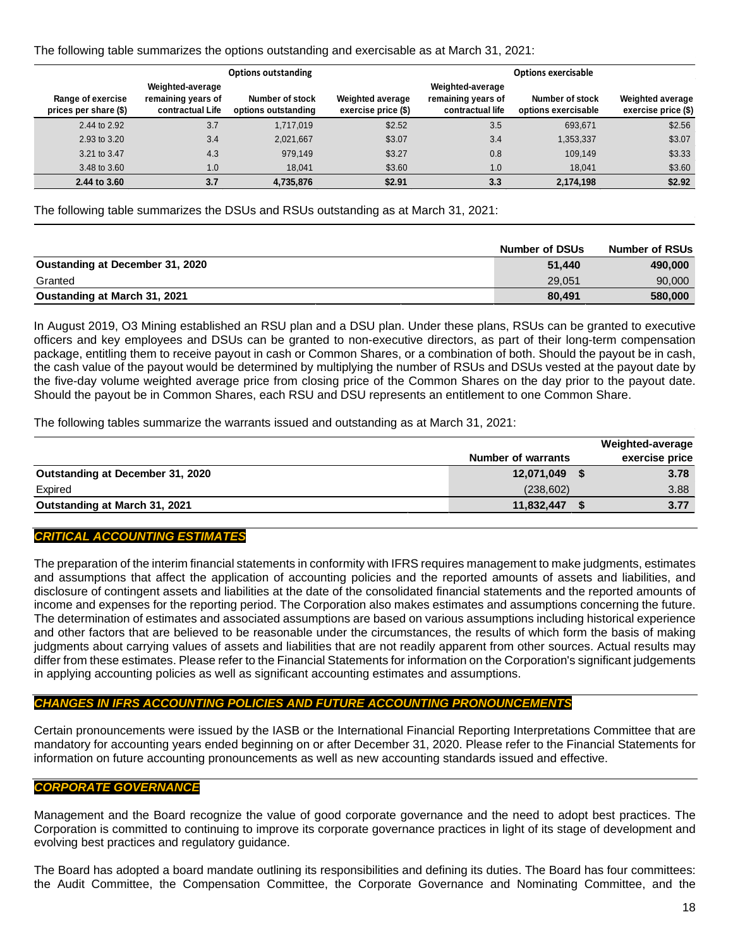### The following table summarizes the options outstanding and exercisable as at March 31, 2021:

| <b>Options outstanding</b>                 |                                                            |                                        |                                                | <b>Options exercisable</b>                                 |                                        |                                                |  |  |
|--------------------------------------------|------------------------------------------------------------|----------------------------------------|------------------------------------------------|------------------------------------------------------------|----------------------------------------|------------------------------------------------|--|--|
| Range of exercise<br>prices per share (\$) | Weighted-average<br>remaining years of<br>contractual Life | Number of stock<br>options outstanding | <b>Weighted average</b><br>exercise price (\$) | Weighted-average<br>remaining years of<br>contractual life | Number of stock<br>options exercisable | <b>Weighted average</b><br>exercise price (\$) |  |  |
| 2.44 to 2.92                               | 3.7                                                        | 1,717,019                              | \$2.52                                         | 3.5                                                        | 693,671                                | \$2.56                                         |  |  |
| 2.93 to 3.20                               | 3.4                                                        | 2,021,667                              | \$3.07                                         | 3.4                                                        | 1,353,337                              | \$3.07                                         |  |  |
| 3.21 to 3.47                               | 4.3                                                        | 979,149                                | \$3.27                                         | 0.8                                                        | 109,149                                | \$3.33                                         |  |  |
| 3.48 to 3.60                               | 1.0                                                        | 18,041                                 | \$3.60                                         | 1.0                                                        | 18,041                                 | \$3.60                                         |  |  |
| 2.44 to 3.60                               | 3.7                                                        | 4,735,876                              | \$2.91                                         | 3.3                                                        | 2,174,198                              | \$2.92                                         |  |  |

The following table summarizes the DSUs and RSUs outstanding as at March 31, 2021:

|                                        | <b>Number of DSUs</b> | <b>Number of RSUs</b> |
|----------------------------------------|-----------------------|-----------------------|
| <b>Oustanding at December 31, 2020</b> | 51.440                | 490,000               |
| Granted                                | 29.051                | 90,000                |
| Oustanding at March 31, 2021           | 80.491                | 580,000               |

In August 2019, O3 Mining established an RSU plan and a DSU plan. Under these plans, RSUs can be granted to executive officers and key employees and DSUs can be granted to non-executive directors, as part of their long-term compensation package, entitling them to receive payout in cash or Common Shares, or a combination of both. Should the payout be in cash, the cash value of the payout would be determined by multiplying the number of RSUs and DSUs vested at the payout date by the five-day volume weighted average price from closing price of the Common Shares on the day prior to the payout date. Should the payout be in Common Shares, each RSU and DSU represents an entitlement to one Common Share.

The following tables summarize the warrants issued and outstanding as at March 31, 2021:

|                                  |                           | Weighted-average |
|----------------------------------|---------------------------|------------------|
|                                  | <b>Number of warrants</b> | exercise price   |
| Outstanding at December 31, 2020 | 12,071,049 \$             | 3.78             |
| Expired                          | (238, 602)                | 3.88             |
| Outstanding at March 31, 2021    | 11,832,447                | 3.77             |
|                                  |                           |                  |

# *CRITICAL ACCOUNTING ESTIMATES*

The preparation of the interim financial statements in conformity with IFRS requires management to make judgments, estimates and assumptions that affect the application of accounting policies and the reported amounts of assets and liabilities, and disclosure of contingent assets and liabilities at the date of the consolidated financial statements and the reported amounts of income and expenses for the reporting period. The Corporation also makes estimates and assumptions concerning the future. The determination of estimates and associated assumptions are based on various assumptions including historical experience and other factors that are believed to be reasonable under the circumstances, the results of which form the basis of making judgments about carrying values of assets and liabilities that are not readily apparent from other sources. Actual results may differ from these estimates. Please refer to the Financial Statements for information on the Corporation's significant judgements in applying accounting policies as well as significant accounting estimates and assumptions.

## *CHANGES IN IFRS ACCOUNTING POLICIES AND FUTURE ACCOUNTING PRONOUNCEMENTS*

Certain pronouncements were issued by the IASB or the International Financial Reporting Interpretations Committee that are mandatory for accounting years ended beginning on or after December 31, 2020. Please refer to the Financial Statements for information on future accounting pronouncements as well as new accounting standards issued and effective.

### *CORPORATE GOVERNANCE*

Management and the Board recognize the value of good corporate governance and the need to adopt best practices. The Corporation is committed to continuing to improve its corporate governance practices in light of its stage of development and evolving best practices and regulatory guidance.

The Board has adopted a board mandate outlining its responsibilities and defining its duties. The Board has four committees: the Audit Committee, the Compensation Committee, the Corporate Governance and Nominating Committee, and the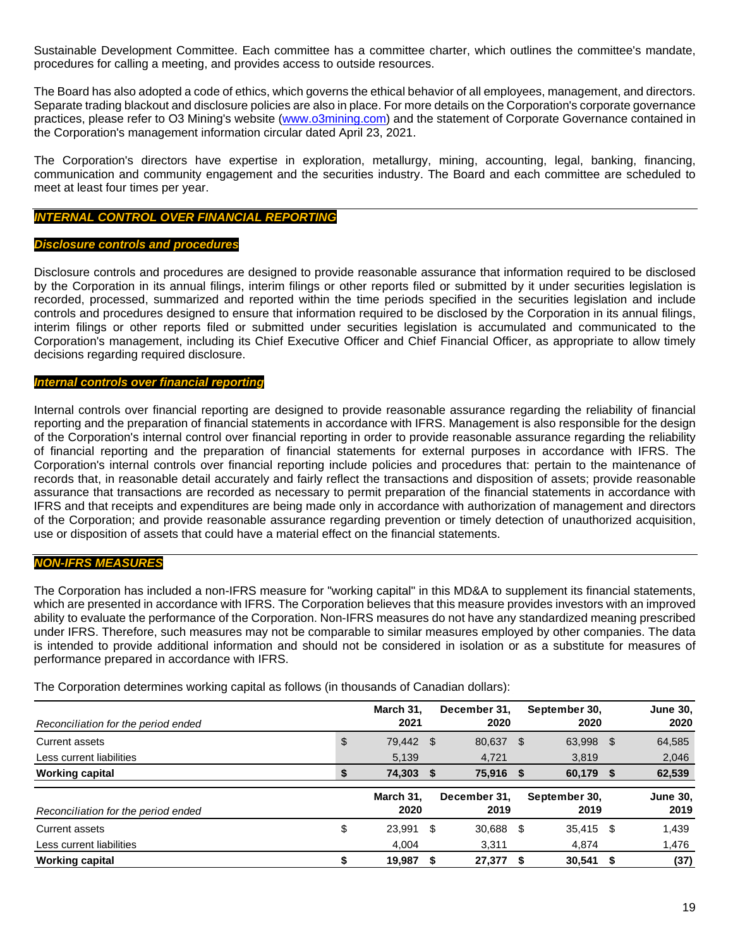Sustainable Development Committee. Each committee has a committee charter, which outlines the committee's mandate, procedures for calling a meeting, and provides access to outside resources.

The Board has also adopted a code of ethics, which governs the ethical behavior of all employees, management, and directors. Separate trading blackout and disclosure policies are also in place. For more details on the Corporation's corporate governance practices, please refer to O3 Mining's website [\(www.o3mining.com\)](http://www.o3mining.com/) and the statement of Corporate Governance contained in the Corporation's management information circular dated April 23, 2021.

The Corporation's directors have expertise in exploration, metallurgy, mining, accounting, legal, banking, financing, communication and community engagement and the securities industry. The Board and each committee are scheduled to meet at least four times per year.

### *INTERNAL CONTROL OVER FINANCIAL REPORTING*

#### *Disclosure controls and procedures*

Disclosure controls and procedures are designed to provide reasonable assurance that information required to be disclosed by the Corporation in its annual filings, interim filings or other reports filed or submitted by it under securities legislation is recorded, processed, summarized and reported within the time periods specified in the securities legislation and include controls and procedures designed to ensure that information required to be disclosed by the Corporation in its annual filings, interim filings or other reports filed or submitted under securities legislation is accumulated and communicated to the Corporation's management, including its Chief Executive Officer and Chief Financial Officer, as appropriate to allow timely decisions regarding required disclosure.

#### *Internal controls over financial reporting*

Internal controls over financial reporting are designed to provide reasonable assurance regarding the reliability of financial reporting and the preparation of financial statements in accordance with IFRS. Management is also responsible for the design of the Corporation's internal control over financial reporting in order to provide reasonable assurance regarding the reliability of financial reporting and the preparation of financial statements for external purposes in accordance with IFRS. The Corporation's internal controls over financial reporting include policies and procedures that: pertain to the maintenance of records that, in reasonable detail accurately and fairly reflect the transactions and disposition of assets; provide reasonable assurance that transactions are recorded as necessary to permit preparation of the financial statements in accordance with IFRS and that receipts and expenditures are being made only in accordance with authorization of management and directors of the Corporation; and provide reasonable assurance regarding prevention or timely detection of unauthorized acquisition, use or disposition of assets that could have a material effect on the financial statements.

### *NON-IFRS MEASURES*

The Corporation has included a non-IFRS measure for "working capital" in this MD&A to supplement its financial statements, which are presented in accordance with IFRS. The Corporation believes that this measure provides investors with an improved ability to evaluate the performance of the Corporation. Non-IFRS measures do not have any standardized meaning prescribed under IFRS. Therefore, such measures may not be comparable to similar measures employed by other companies. The data is intended to provide additional information and should not be considered in isolation or as a substitute for measures of performance prepared in accordance with IFRS.

The Corporation determines working capital as follows (in thousands of Canadian dollars):

| Reconciliation for the period ended |    | March 31.<br>2021 |    | December 31.<br>2020 |      | September 30,<br>2020 |    | <b>June 30,</b><br>2020 |
|-------------------------------------|----|-------------------|----|----------------------|------|-----------------------|----|-------------------------|
| Current assets                      | \$ | 79,442 \$         |    | 80,637 \$            |      | 63,998                | \$ | 64,585                  |
| Less current liabilities            |    | 5,139             |    | 4,721                |      | 3,819                 |    | 2,046                   |
| <b>Working capital</b>              | S  | 74,303 \$         |    | 75,916 \$            |      | 60,179                | -5 | 62,539                  |
|                                     |    |                   |    |                      |      |                       |    |                         |
| Reconciliation for the period ended |    | March 31.<br>2020 |    | December 31,<br>2019 |      | September 30,<br>2019 |    | <b>June 30,</b><br>2019 |
| Current assets                      | \$ | 23.991            | -S | 30,688               | - \$ | 35,415                | \$ | 1.439                   |
| Less current liabilities            |    | 4.004             |    | 3,311                |      | 4,874                 |    | 1,476                   |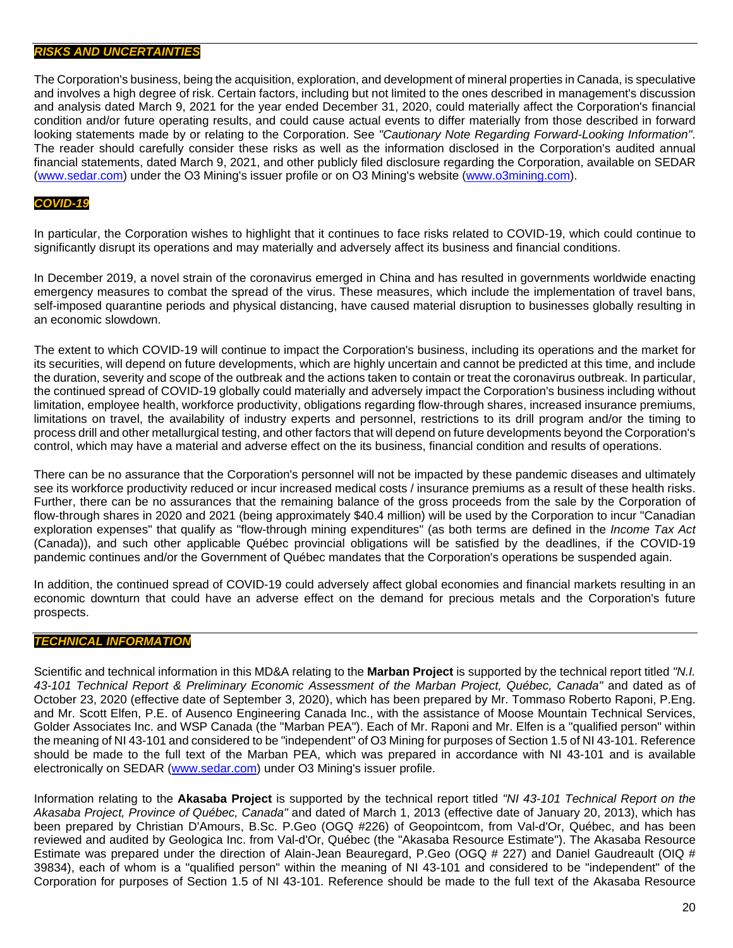### *RISKS AND UNCERTAINTIES*

The Corporation's business, being the acquisition, exploration, and development of mineral properties in Canada, is speculative and involves a high degree of risk. Certain factors, including but not limited to the ones described in management's discussion and analysis dated March 9, 2021 for the year ended December 31, 2020, could materially affect the Corporation's financial condition and/or future operating results, and could cause actual events to differ materially from those described in forward looking statements made by or relating to the Corporation. See *"Cautionary Note Regarding Forward-Looking Information"*. The reader should carefully consider these risks as well as the information disclosed in the Corporation's audited annual financial statements, dated March 9, 2021, and other publicly filed disclosure regarding the Corporation, available on SEDAR [\(www.sedar.com\)](http://www.sedar.com/) under the O3 Mining's issuer profile or on O3 Mining's website [\(www.o3mining.com\)](http://www.o3mining.com/).

## *COVID-19*

In particular, the Corporation wishes to highlight that it continues to face risks related to COVID-19, which could continue to significantly disrupt its operations and may materially and adversely affect its business and financial conditions.

In December 2019, a novel strain of the coronavirus emerged in China and has resulted in governments worldwide enacting emergency measures to combat the spread of the virus. These measures, which include the implementation of travel bans, self-imposed quarantine periods and physical distancing, have caused material disruption to businesses globally resulting in an economic slowdown.

The extent to which COVID-19 will continue to impact the Corporation's business, including its operations and the market for its securities, will depend on future developments, which are highly uncertain and cannot be predicted at this time, and include the duration, severity and scope of the outbreak and the actions taken to contain or treat the coronavirus outbreak. In particular, the continued spread of COVID-19 globally could materially and adversely impact the Corporation's business including without limitation, employee health, workforce productivity, obligations regarding flow-through shares, increased insurance premiums, limitations on travel, the availability of industry experts and personnel, restrictions to its drill program and/or the timing to process drill and other metallurgical testing, and other factors that will depend on future developments beyond the Corporation's control, which may have a material and adverse effect on the its business, financial condition and results of operations.

There can be no assurance that the Corporation's personnel will not be impacted by these pandemic diseases and ultimately see its workforce productivity reduced or incur increased medical costs / insurance premiums as a result of these health risks. Further, there can be no assurances that the remaining balance of the gross proceeds from the sale by the Corporation of flow-through shares in 2020 and 2021 (being approximately \$40.4 million) will be used by the Corporation to incur "Canadian exploration expenses" that qualify as "flow-through mining expenditures" (as both terms are defined in the *Income Tax Act* (Canada)), and such other applicable Québec provincial obligations will be satisfied by the deadlines, if the COVID-19 pandemic continues and/or the Government of Québec mandates that the Corporation's operations be suspended again.

In addition, the continued spread of COVID-19 could adversely affect global economies and financial markets resulting in an economic downturn that could have an adverse effect on the demand for precious metals and the Corporation's future prospects.

## *TECHNICAL INFORMATION*

Scientific and technical information in this MD&A relating to the **Marban Project** is supported by the technical report titled *"N.I. 43-101 Technical Report & Preliminary Economic Assessment of the Marban Project, Québec, Canada"* and dated as of October 23, 2020 (effective date of September 3, 2020), which has been prepared by Mr. Tommaso Roberto Raponi, P.Eng. and Mr. Scott Elfen, P.E. of Ausenco Engineering Canada Inc., with the assistance of Moose Mountain Technical Services, Golder Associates Inc. and WSP Canada (the "Marban PEA"). Each of Mr. Raponi and Mr. Elfen is a "qualified person" within the meaning of NI 43-101 and considered to be "independent" of O3 Mining for purposes of Section 1.5 of NI 43-101. Reference should be made to the full text of the Marban PEA, which was prepared in accordance with NI 43-101 and is available electronically on SEDAR [\(www.sedar.com\)](http://www.sedar.com/) under O3 Mining's issuer profile.

Information relating to the **Akasaba Project** is supported by the technical report titled *"NI 43-101 Technical Report on the Akasaba Project, Province of Québec, Canada"* and dated of March 1, 2013 (effective date of January 20, 2013), which has been prepared by Christian D'Amours, B.Sc. P.Geo (OGQ #226) of Geopointcom, from Val-d'Or, Québec, and has been reviewed and audited by Geologica Inc. from Val-d'Or, Québec (the "Akasaba Resource Estimate"). The Akasaba Resource Estimate was prepared under the direction of Alain-Jean Beauregard, P.Geo (OGQ # 227) and Daniel Gaudreault (OIQ # 39834), each of whom is a "qualified person" within the meaning of NI 43-101 and considered to be "independent" of the Corporation for purposes of Section 1.5 of NI 43-101. Reference should be made to the full text of the Akasaba Resource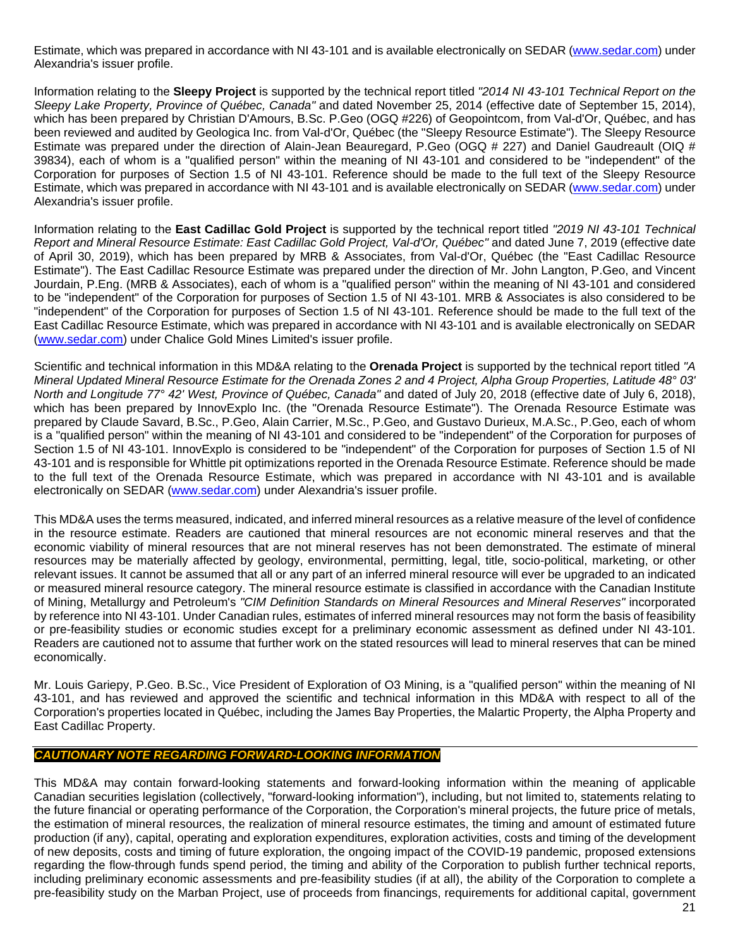Estimate, which was prepared in accordance with NI 43-101 and is available electronically on SEDAR [\(www.sedar.com\)](http://www.sedar.com/) under Alexandria's issuer profile.

Information relating to the **Sleepy Project** is supported by the technical report titled *"2014 NI 43-101 Technical Report on the Sleepy Lake Property, Province of Québec, Canada"* and dated November 25, 2014 (effective date of September 15, 2014), which has been prepared by Christian D'Amours, B.Sc. P.Geo (OGQ #226) of Geopointcom, from Val-d'Or, Québec, and has been reviewed and audited by Geologica Inc. from Val-d'Or, Québec (the "Sleepy Resource Estimate"). The Sleepy Resource Estimate was prepared under the direction of Alain-Jean Beauregard, P.Geo (OGQ # 227) and Daniel Gaudreault (OIQ # 39834), each of whom is a "qualified person" within the meaning of NI 43-101 and considered to be "independent" of the Corporation for purposes of Section 1.5 of NI 43-101. Reference should be made to the full text of the Sleepy Resource Estimate, which was prepared in accordance with NI 43-101 and is available electronically on SEDAR [\(www.sedar.com\)](http://www.sedar.com/) under Alexandria's issuer profile.

Information relating to the **East Cadillac Gold Project** is supported by the technical report titled *"2019 NI 43-101 Technical Report and Mineral Resource Estimate: East Cadillac Gold Project, Val-d'Or, Québec"* and dated June 7, 2019 (effective date of April 30, 2019), which has been prepared by MRB & Associates, from Val-d'Or, Québec (the "East Cadillac Resource Estimate"). The East Cadillac Resource Estimate was prepared under the direction of Mr. John Langton, P.Geo, and Vincent Jourdain, P.Eng. (MRB & Associates), each of whom is a "qualified person" within the meaning of NI 43-101 and considered to be "independent" of the Corporation for purposes of Section 1.5 of NI 43-101. MRB & Associates is also considered to be "independent" of the Corporation for purposes of Section 1.5 of NI 43-101. Reference should be made to the full text of the East Cadillac Resource Estimate, which was prepared in accordance with NI 43-101 and is available electronically on SEDAR [\(www.sedar.com\)](http://www.sedar.com/) under Chalice Gold Mines Limited's issuer profile.

Scientific and technical information in this MD&A relating to the **Orenada Project** is supported by the technical report titled *"A Mineral Updated Mineral Resource Estimate for the Orenada Zones 2 and 4 Project, Alpha Group Properties, Latitude 48° 03' North and Longitude 77° 42' West, Province of Québec, Canada"* and dated of July 20, 2018 (effective date of July 6, 2018), which has been prepared by InnovExplo Inc. (the "Orenada Resource Estimate"). The Orenada Resource Estimate was prepared by Claude Savard, B.Sc., P.Geo, Alain Carrier, M.Sc., P.Geo, and Gustavo Durieux, M.A.Sc., P.Geo, each of whom is a "qualified person" within the meaning of NI 43-101 and considered to be "independent" of the Corporation for purposes of Section 1.5 of NI 43-101. InnovExplo is considered to be "independent" of the Corporation for purposes of Section 1.5 of NI 43-101 and is responsible for Whittle pit optimizations reported in the Orenada Resource Estimate. Reference should be made to the full text of the Orenada Resource Estimate, which was prepared in accordance with NI 43-101 and is available electronically on SEDAR [\(www.sedar.com\)](http://www.sedar.com/) under Alexandria's issuer profile.

This MD&A uses the terms measured, indicated, and inferred mineral resources as a relative measure of the level of confidence in the resource estimate. Readers are cautioned that mineral resources are not economic mineral reserves and that the economic viability of mineral resources that are not mineral reserves has not been demonstrated. The estimate of mineral resources may be materially affected by geology, environmental, permitting, legal, title, socio-political, marketing, or other relevant issues. It cannot be assumed that all or any part of an inferred mineral resource will ever be upgraded to an indicated or measured mineral resource category. The mineral resource estimate is classified in accordance with the Canadian Institute of Mining, Metallurgy and Petroleum's *"CIM Definition Standards on Mineral Resources and Mineral Reserves"* incorporated by reference into NI 43-101. Under Canadian rules, estimates of inferred mineral resources may not form the basis of feasibility or pre-feasibility studies or economic studies except for a preliminary economic assessment as defined under NI 43-101. Readers are cautioned not to assume that further work on the stated resources will lead to mineral reserves that can be mined economically.

Mr. Louis Gariepy, P.Geo. B.Sc., Vice President of Exploration of O3 Mining, is a "qualified person" within the meaning of NI 43-101, and has reviewed and approved the scientific and technical information in this MD&A with respect to all of the Corporation's properties located in Québec, including the James Bay Properties, the Malartic Property, the Alpha Property and East Cadillac Property.

## *CAUTIONARY NOTE REGARDING FORWARD-LOOKING INFORMATION*

This MD&A may contain forward-looking statements and forward-looking information within the meaning of applicable Canadian securities legislation (collectively, "forward-looking information"), including, but not limited to, statements relating to the future financial or operating performance of the Corporation, the Corporation's mineral projects, the future price of metals, the estimation of mineral resources, the realization of mineral resource estimates, the timing and amount of estimated future production (if any), capital, operating and exploration expenditures, exploration activities, costs and timing of the development of new deposits, costs and timing of future exploration, the ongoing impact of the COVID-19 pandemic, proposed extensions regarding the flow-through funds spend period, the timing and ability of the Corporation to publish further technical reports, including preliminary economic assessments and pre-feasibility studies (if at all), the ability of the Corporation to complete a pre-feasibility study on the Marban Project, use of proceeds from financings, requirements for additional capital, government